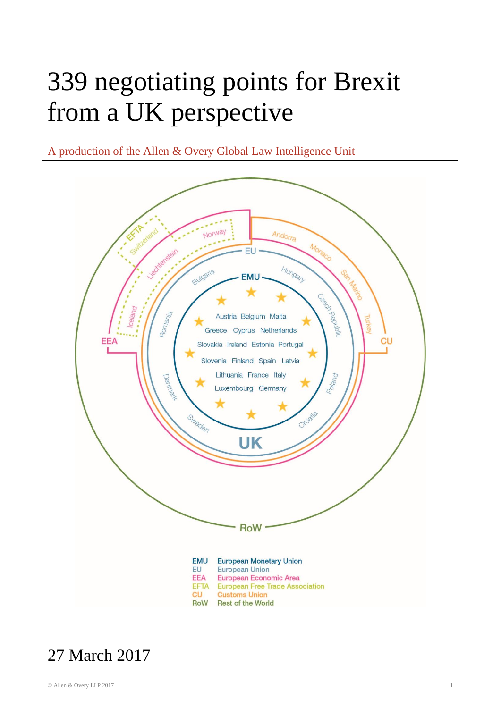# 339 negotiating points for Brexit from a UK perspective

A production of the Allen & Overy Global Law Intelligence Unit



# 27 March 2017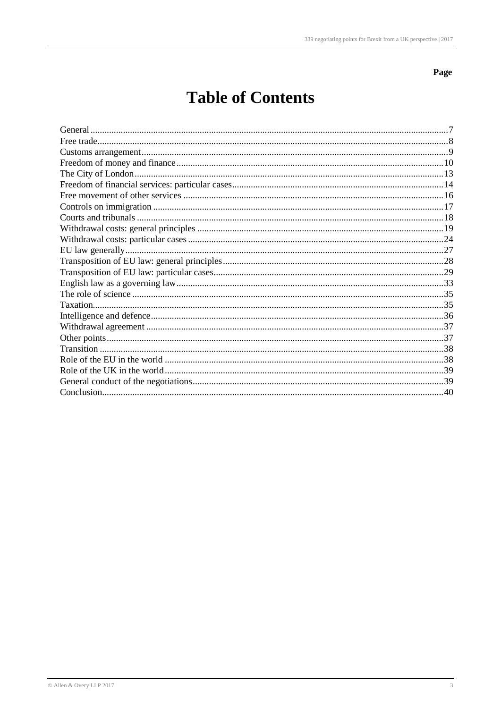Page

# **Table of Contents**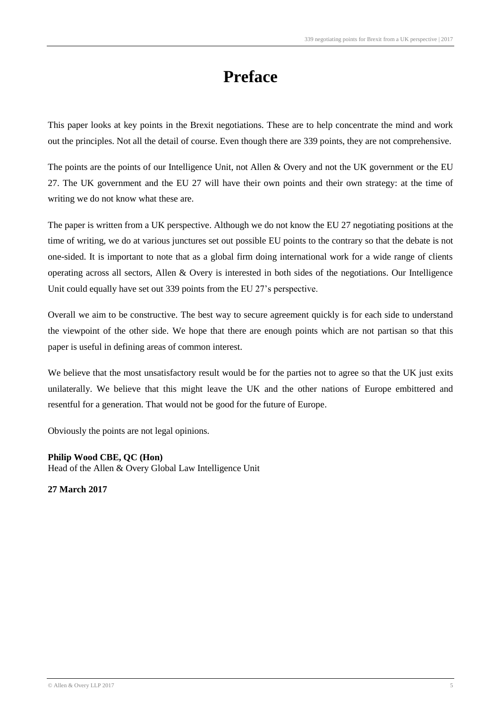# **Preface**

This paper looks at key points in the Brexit negotiations. These are to help concentrate the mind and work out the principles. Not all the detail of course. Even though there are 339 points, they are not comprehensive.

The points are the points of our Intelligence Unit, not Allen & Overy and not the UK government or the EU 27. The UK government and the EU 27 will have their own points and their own strategy: at the time of writing we do not know what these are.

The paper is written from a UK perspective. Although we do not know the EU 27 negotiating positions at the time of writing, we do at various junctures set out possible EU points to the contrary so that the debate is not one-sided. It is important to note that as a global firm doing international work for a wide range of clients operating across all sectors, Allen & Overy is interested in both sides of the negotiations. Our Intelligence Unit could equally have set out 339 points from the EU 27's perspective.

Overall we aim to be constructive. The best way to secure agreement quickly is for each side to understand the viewpoint of the other side. We hope that there are enough points which are not partisan so that this paper is useful in defining areas of common interest.

We believe that the most unsatisfactory result would be for the parties not to agree so that the UK just exits unilaterally. We believe that this might leave the UK and the other nations of Europe embittered and resentful for a generation. That would not be good for the future of Europe.

Obviously the points are not legal opinions.

#### **Philip Wood CBE, QC (Hon)**

Head of the Allen & Overy Global Law Intelligence Unit

**27 March 2017**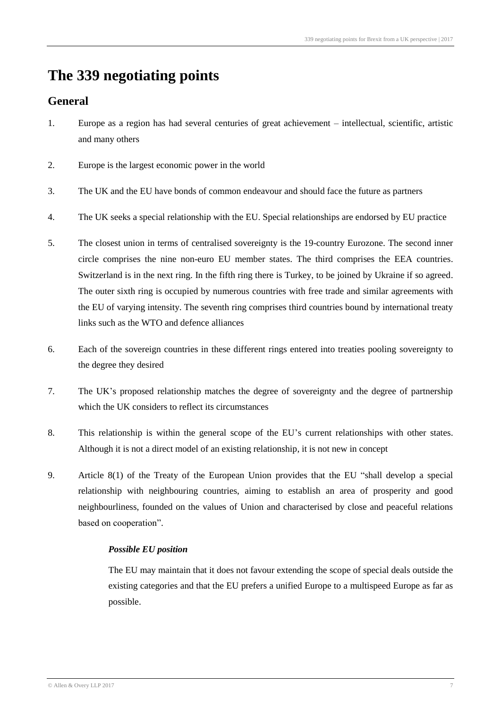# **The 339 negotiating points**

# **General**

- 1. Europe as a region has had several centuries of great achievement intellectual, scientific, artistic and many others
- 2. Europe is the largest economic power in the world
- 3. The UK and the EU have bonds of common endeavour and should face the future as partners
- 4. The UK seeks a special relationship with the EU. Special relationships are endorsed by EU practice
- 5. The closest union in terms of centralised sovereignty is the 19-country Eurozone. The second inner circle comprises the nine non-euro EU member states. The third comprises the EEA countries. Switzerland is in the next ring. In the fifth ring there is Turkey, to be joined by Ukraine if so agreed. The outer sixth ring is occupied by numerous countries with free trade and similar agreements with the EU of varying intensity. The seventh ring comprises third countries bound by international treaty links such as the WTO and defence alliances
- 6. Each of the sovereign countries in these different rings entered into treaties pooling sovereignty to the degree they desired
- 7. The UK's proposed relationship matches the degree of sovereignty and the degree of partnership which the UK considers to reflect its circumstances
- 8. This relationship is within the general scope of the EU's current relationships with other states. Although it is not a direct model of an existing relationship, it is not new in concept
- 9. Article 8(1) of the Treaty of the European Union provides that the EU "shall develop a special relationship with neighbouring countries, aiming to establish an area of prosperity and good neighbourliness, founded on the values of Union and characterised by close and peaceful relations based on cooperation".

#### *Possible EU position*

The EU may maintain that it does not favour extending the scope of special deals outside the existing categories and that the EU prefers a unified Europe to a multispeed Europe as far as possible.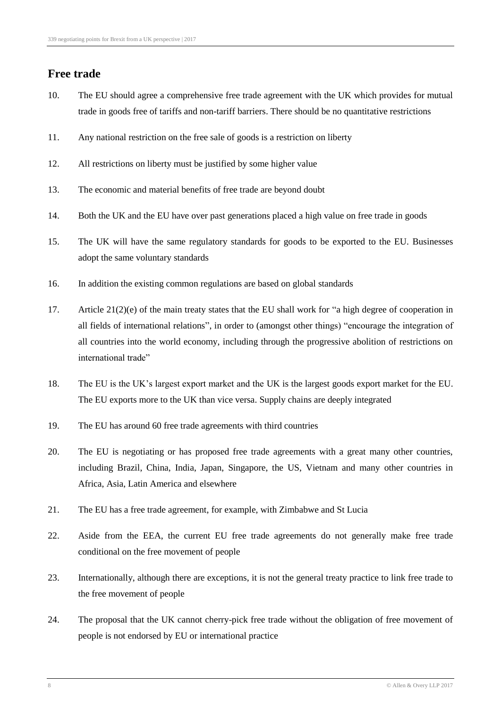## **Free trade**

- 10. The EU should agree a comprehensive free trade agreement with the UK which provides for mutual trade in goods free of tariffs and non-tariff barriers. There should be no quantitative restrictions
- 11. Any national restriction on the free sale of goods is a restriction on liberty
- 12. All restrictions on liberty must be justified by some higher value
- 13. The economic and material benefits of free trade are beyond doubt
- 14. Both the UK and the EU have over past generations placed a high value on free trade in goods
- 15. The UK will have the same regulatory standards for goods to be exported to the EU. Businesses adopt the same voluntary standards
- 16. In addition the existing common regulations are based on global standards
- 17. Article 21(2)(e) of the main treaty states that the EU shall work for "a high degree of cooperation in all fields of international relations", in order to (amongst other things) "encourage the integration of all countries into the world economy, including through the progressive abolition of restrictions on international trade"
- 18. The EU is the UK's largest export market and the UK is the largest goods export market for the EU. The EU exports more to the UK than vice versa. Supply chains are deeply integrated
- 19. The EU has around 60 free trade agreements with third countries
- 20. The EU is negotiating or has proposed free trade agreements with a great many other countries, including Brazil, China, India, Japan, Singapore, the US, Vietnam and many other countries in Africa, Asia, Latin America and elsewhere
- 21. The EU has a free trade agreement, for example, with Zimbabwe and St Lucia
- 22. Aside from the EEA, the current EU free trade agreements do not generally make free trade conditional on the free movement of people
- 23. Internationally, although there are exceptions, it is not the general treaty practice to link free trade to the free movement of people
- 24. The proposal that the UK cannot cherry-pick free trade without the obligation of free movement of people is not endorsed by EU or international practice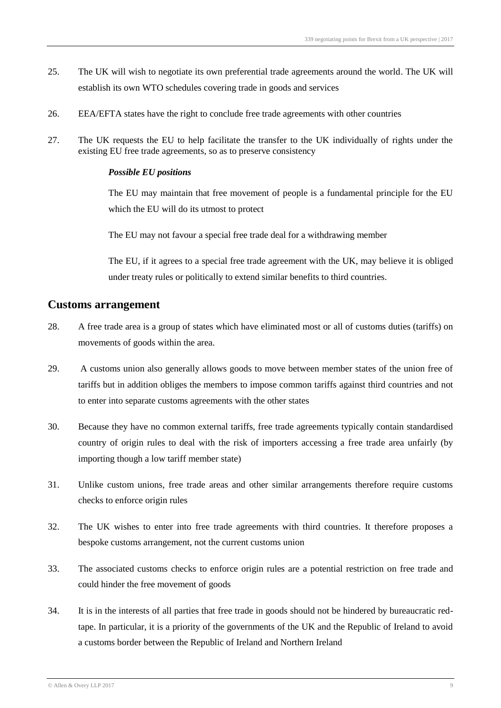- 25. The UK will wish to negotiate its own preferential trade agreements around the world. The UK will establish its own WTO schedules covering trade in goods and services
- 26. EEA/EFTA states have the right to conclude free trade agreements with other countries
- 27. The UK requests the EU to help facilitate the transfer to the UK individually of rights under the existing EU free trade agreements, so as to preserve consistency

The EU may maintain that free movement of people is a fundamental principle for the EU which the EU will do its utmost to protect

The EU may not favour a special free trade deal for a withdrawing member

The EU, if it agrees to a special free trade agreement with the UK, may believe it is obliged under treaty rules or politically to extend similar benefits to third countries.

#### **Customs arrangement**

- 28. A free trade area is a group of states which have eliminated most or all of customs duties (tariffs) on movements of goods within the area.
- 29. A customs union also generally allows goods to move between member states of the union free of tariffs but in addition obliges the members to impose common tariffs against third countries and not to enter into separate customs agreements with the other states
- 30. Because they have no common external tariffs, free trade agreements typically contain standardised country of origin rules to deal with the risk of importers accessing a free trade area unfairly (by importing though a low tariff member state)
- 31. Unlike custom unions, free trade areas and other similar arrangements therefore require customs checks to enforce origin rules
- 32. The UK wishes to enter into free trade agreements with third countries. It therefore proposes a bespoke customs arrangement, not the current customs union
- 33. The associated customs checks to enforce origin rules are a potential restriction on free trade and could hinder the free movement of goods
- 34. It is in the interests of all parties that free trade in goods should not be hindered by bureaucratic redtape. In particular, it is a priority of the governments of the UK and the Republic of Ireland to avoid a customs border between the Republic of Ireland and Northern Ireland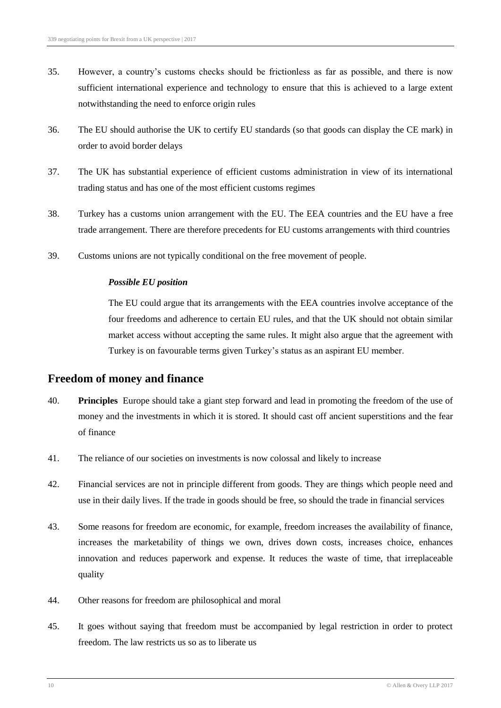- 35. However, a country's customs checks should be frictionless as far as possible, and there is now sufficient international experience and technology to ensure that this is achieved to a large extent notwithstanding the need to enforce origin rules
- 36. The EU should authorise the UK to certify EU standards (so that goods can display the CE mark) in order to avoid border delays
- 37. The UK has substantial experience of efficient customs administration in view of its international trading status and has one of the most efficient customs regimes
- 38. Turkey has a customs union arrangement with the EU. The EEA countries and the EU have a free trade arrangement. There are therefore precedents for EU customs arrangements with third countries
- 39. Customs unions are not typically conditional on the free movement of people.

The EU could argue that its arrangements with the EEA countries involve acceptance of the four freedoms and adherence to certain EU rules, and that the UK should not obtain similar market access without accepting the same rules. It might also argue that the agreement with Turkey is on favourable terms given Turkey's status as an aspirant EU member.

#### **Freedom of money and finance**

- 40. **Principles** Europe should take a giant step forward and lead in promoting the freedom of the use of money and the investments in which it is stored. It should cast off ancient superstitions and the fear of finance
- 41. The reliance of our societies on investments is now colossal and likely to increase
- 42. Financial services are not in principle different from goods. They are things which people need and use in their daily lives. If the trade in goods should be free, so should the trade in financial services
- 43. Some reasons for freedom are economic, for example, freedom increases the availability of finance, increases the marketability of things we own, drives down costs, increases choice, enhances innovation and reduces paperwork and expense. It reduces the waste of time, that irreplaceable quality
- 44. Other reasons for freedom are philosophical and moral
- 45. It goes without saying that freedom must be accompanied by legal restriction in order to protect freedom. The law restricts us so as to liberate us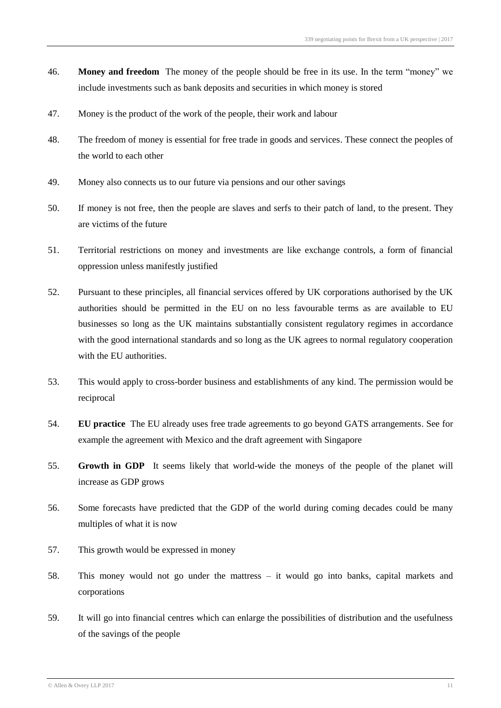- 46. **Money and freedom** The money of the people should be free in its use. In the term "money" we include investments such as bank deposits and securities in which money is stored
- 47. Money is the product of the work of the people, their work and labour
- 48. The freedom of money is essential for free trade in goods and services. These connect the peoples of the world to each other
- 49. Money also connects us to our future via pensions and our other savings
- 50. If money is not free, then the people are slaves and serfs to their patch of land, to the present. They are victims of the future
- 51. Territorial restrictions on money and investments are like exchange controls, a form of financial oppression unless manifestly justified
- 52. Pursuant to these principles, all financial services offered by UK corporations authorised by the UK authorities should be permitted in the EU on no less favourable terms as are available to EU businesses so long as the UK maintains substantially consistent regulatory regimes in accordance with the good international standards and so long as the UK agrees to normal regulatory cooperation with the EU authorities.
- 53. This would apply to cross-border business and establishments of any kind. The permission would be reciprocal
- 54. **EU practice** The EU already uses free trade agreements to go beyond GATS arrangements. See for example the agreement with Mexico and the draft agreement with Singapore
- 55. **Growth in GDP** It seems likely that world-wide the moneys of the people of the planet will increase as GDP grows
- 56. Some forecasts have predicted that the GDP of the world during coming decades could be many multiples of what it is now
- 57. This growth would be expressed in money
- 58. This money would not go under the mattress it would go into banks, capital markets and corporations
- 59. It will go into financial centres which can enlarge the possibilities of distribution and the usefulness of the savings of the people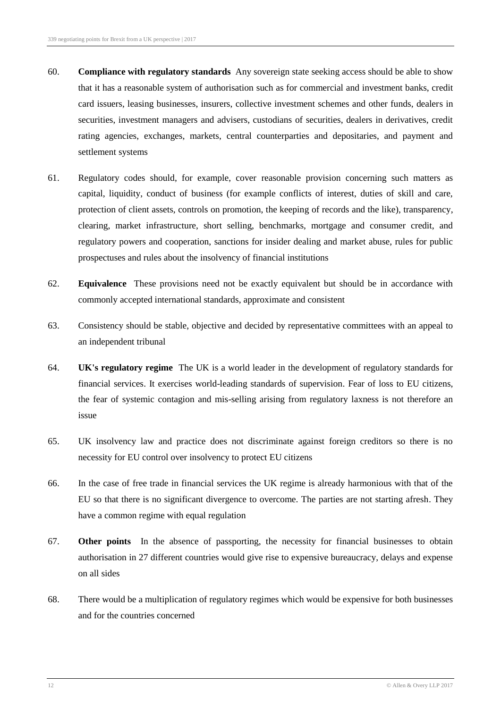- 60. **Compliance with regulatory standards** Any sovereign state seeking access should be able to show that it has a reasonable system of authorisation such as for commercial and investment banks, credit card issuers, leasing businesses, insurers, collective investment schemes and other funds, dealers in securities, investment managers and advisers, custodians of securities, dealers in derivatives, credit rating agencies, exchanges, markets, central counterparties and depositaries, and payment and settlement systems
- 61. Regulatory codes should, for example, cover reasonable provision concerning such matters as capital, liquidity, conduct of business (for example conflicts of interest, duties of skill and care, protection of client assets, controls on promotion, the keeping of records and the like), transparency, clearing, market infrastructure, short selling, benchmarks, mortgage and consumer credit, and regulatory powers and cooperation, sanctions for insider dealing and market abuse, rules for public prospectuses and rules about the insolvency of financial institutions
- 62. **Equivalence** These provisions need not be exactly equivalent but should be in accordance with commonly accepted international standards, approximate and consistent
- 63. Consistency should be stable, objective and decided by representative committees with an appeal to an independent tribunal
- 64. **UK's regulatory regime** The UK is a world leader in the development of regulatory standards for financial services. It exercises world-leading standards of supervision. Fear of loss to EU citizens, the fear of systemic contagion and mis-selling arising from regulatory laxness is not therefore an issue
- 65. UK insolvency law and practice does not discriminate against foreign creditors so there is no necessity for EU control over insolvency to protect EU citizens
- 66. In the case of free trade in financial services the UK regime is already harmonious with that of the EU so that there is no significant divergence to overcome. The parties are not starting afresh. They have a common regime with equal regulation
- 67. **Other points** In the absence of passporting, the necessity for financial businesses to obtain authorisation in 27 different countries would give rise to expensive bureaucracy, delays and expense on all sides
- 68. There would be a multiplication of regulatory regimes which would be expensive for both businesses and for the countries concerned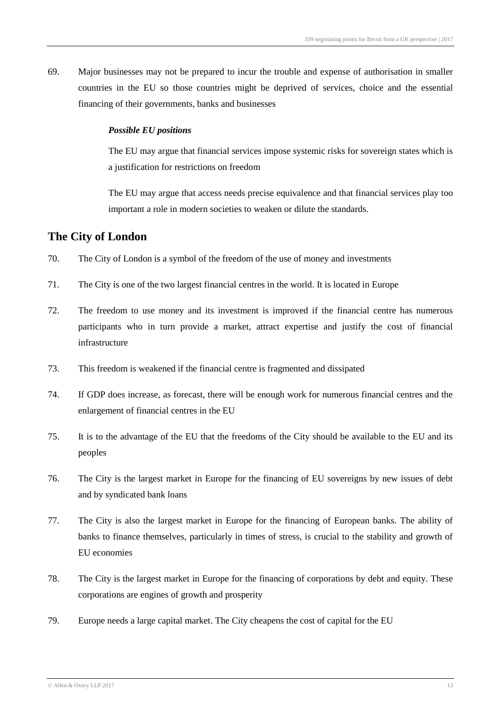69. Major businesses may not be prepared to incur the trouble and expense of authorisation in smaller countries in the EU so those countries might be deprived of services, choice and the essential financing of their governments, banks and businesses

#### *Possible EU positions*

The EU may argue that financial services impose systemic risks for sovereign states which is a justification for restrictions on freedom

The EU may argue that access needs precise equivalence and that financial services play too important a role in modern societies to weaken or dilute the standards.

#### **The City of London**

- 70. The City of London is a symbol of the freedom of the use of money and investments
- 71. The City is one of the two largest financial centres in the world. It is located in Europe
- 72. The freedom to use money and its investment is improved if the financial centre has numerous participants who in turn provide a market, attract expertise and justify the cost of financial infrastructure
- 73. This freedom is weakened if the financial centre is fragmented and dissipated
- 74. If GDP does increase, as forecast, there will be enough work for numerous financial centres and the enlargement of financial centres in the EU
- 75. It is to the advantage of the EU that the freedoms of the City should be available to the EU and its peoples
- 76. The City is the largest market in Europe for the financing of EU sovereigns by new issues of debt and by syndicated bank loans
- 77. The City is also the largest market in Europe for the financing of European banks. The ability of banks to finance themselves, particularly in times of stress, is crucial to the stability and growth of EU economies
- 78. The City is the largest market in Europe for the financing of corporations by debt and equity. These corporations are engines of growth and prosperity
- 79. Europe needs a large capital market. The City cheapens the cost of capital for the EU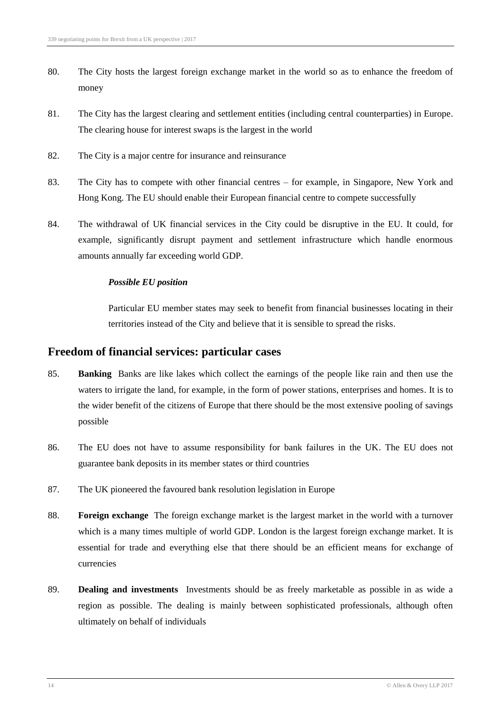- 80. The City hosts the largest foreign exchange market in the world so as to enhance the freedom of money
- 81. The City has the largest clearing and settlement entities (including central counterparties) in Europe. The clearing house for interest swaps is the largest in the world
- 82. The City is a major centre for insurance and reinsurance
- 83. The City has to compete with other financial centres for example, in Singapore, New York and Hong Kong. The EU should enable their European financial centre to compete successfully
- 84. The withdrawal of UK financial services in the City could be disruptive in the EU. It could, for example, significantly disrupt payment and settlement infrastructure which handle enormous amounts annually far exceeding world GDP.

Particular EU member states may seek to benefit from financial businesses locating in their territories instead of the City and believe that it is sensible to spread the risks.

#### **Freedom of financial services: particular cases**

- 85. **Banking** Banks are like lakes which collect the earnings of the people like rain and then use the waters to irrigate the land, for example, in the form of power stations, enterprises and homes. It is to the wider benefit of the citizens of Europe that there should be the most extensive pooling of savings possible
- 86. The EU does not have to assume responsibility for bank failures in the UK. The EU does not guarantee bank deposits in its member states or third countries
- 87. The UK pioneered the favoured bank resolution legislation in Europe
- 88. **Foreign exchange** The foreign exchange market is the largest market in the world with a turnover which is a many times multiple of world GDP. London is the largest foreign exchange market. It is essential for trade and everything else that there should be an efficient means for exchange of currencies
- 89. **Dealing and investments** Investments should be as freely marketable as possible in as wide a region as possible. The dealing is mainly between sophisticated professionals, although often ultimately on behalf of individuals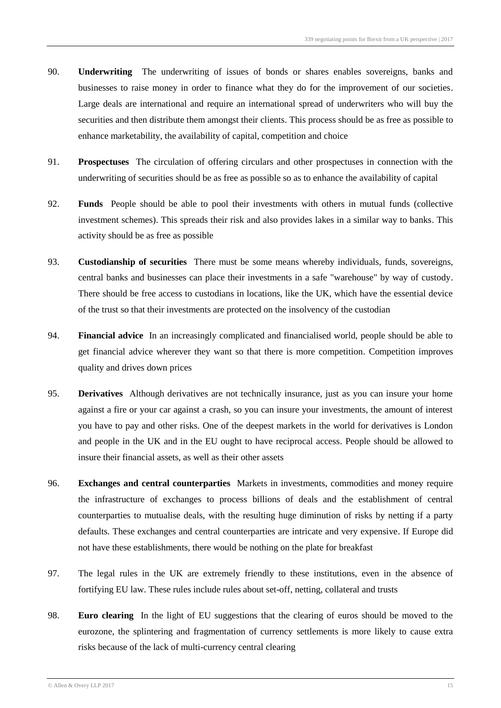- 90. **Underwriting** The underwriting of issues of bonds or shares enables sovereigns, banks and businesses to raise money in order to finance what they do for the improvement of our societies. Large deals are international and require an international spread of underwriters who will buy the securities and then distribute them amongst their clients. This process should be as free as possible to enhance marketability, the availability of capital, competition and choice
- 91. **Prospectuses** The circulation of offering circulars and other prospectuses in connection with the underwriting of securities should be as free as possible so as to enhance the availability of capital
- 92. **Funds** People should be able to pool their investments with others in mutual funds (collective investment schemes). This spreads their risk and also provides lakes in a similar way to banks. This activity should be as free as possible
- 93. **Custodianship of securities** There must be some means whereby individuals, funds, sovereigns, central banks and businesses can place their investments in a safe "warehouse" by way of custody. There should be free access to custodians in locations, like the UK, which have the essential device of the trust so that their investments are protected on the insolvency of the custodian
- 94. **Financial advice** In an increasingly complicated and financialised world, people should be able to get financial advice wherever they want so that there is more competition. Competition improves quality and drives down prices
- 95. **Derivatives** Although derivatives are not technically insurance, just as you can insure your home against a fire or your car against a crash, so you can insure your investments, the amount of interest you have to pay and other risks. One of the deepest markets in the world for derivatives is London and people in the UK and in the EU ought to have reciprocal access. People should be allowed to insure their financial assets, as well as their other assets
- 96. **Exchanges and central counterparties** Markets in investments, commodities and money require the infrastructure of exchanges to process billions of deals and the establishment of central counterparties to mutualise deals, with the resulting huge diminution of risks by netting if a party defaults. These exchanges and central counterparties are intricate and very expensive. If Europe did not have these establishments, there would be nothing on the plate for breakfast
- 97. The legal rules in the UK are extremely friendly to these institutions, even in the absence of fortifying EU law. These rules include rules about set-off, netting, collateral and trusts
- 98. **Euro clearing** In the light of EU suggestions that the clearing of euros should be moved to the eurozone, the splintering and fragmentation of currency settlements is more likely to cause extra risks because of the lack of multi-currency central clearing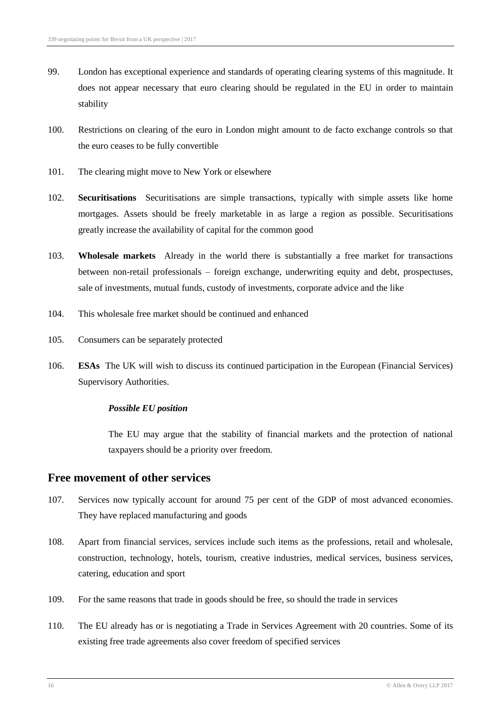- 99. London has exceptional experience and standards of operating clearing systems of this magnitude. It does not appear necessary that euro clearing should be regulated in the EU in order to maintain stability
- 100. Restrictions on clearing of the euro in London might amount to de facto exchange controls so that the euro ceases to be fully convertible
- 101. The clearing might move to New York or elsewhere
- 102. **Securitisations** Securitisations are simple transactions, typically with simple assets like home mortgages. Assets should be freely marketable in as large a region as possible. Securitisations greatly increase the availability of capital for the common good
- 103. **Wholesale markets** Already in the world there is substantially a free market for transactions between non-retail professionals – foreign exchange, underwriting equity and debt, prospectuses, sale of investments, mutual funds, custody of investments, corporate advice and the like
- 104. This wholesale free market should be continued and enhanced
- 105. Consumers can be separately protected
- 106. **ESAs** The UK will wish to discuss its continued participation in the European (Financial Services) Supervisory Authorities.

The EU may argue that the stability of financial markets and the protection of national taxpayers should be a priority over freedom.

#### **Free movement of other services**

- 107. Services now typically account for around 75 per cent of the GDP of most advanced economies. They have replaced manufacturing and goods
- 108. Apart from financial services, services include such items as the professions, retail and wholesale, construction, technology, hotels, tourism, creative industries, medical services, business services, catering, education and sport
- 109. For the same reasons that trade in goods should be free, so should the trade in services
- 110. The EU already has or is negotiating a Trade in Services Agreement with 20 countries. Some of its existing free trade agreements also cover freedom of specified services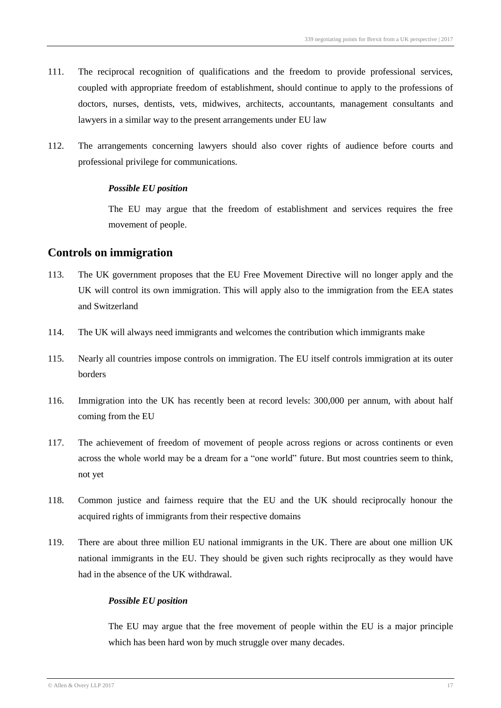- 111. The reciprocal recognition of qualifications and the freedom to provide professional services, coupled with appropriate freedom of establishment, should continue to apply to the professions of doctors, nurses, dentists, vets, midwives, architects, accountants, management consultants and lawyers in a similar way to the present arrangements under EU law
- 112. The arrangements concerning lawyers should also cover rights of audience before courts and professional privilege for communications.

The EU may argue that the freedom of establishment and services requires the free movement of people.

#### **Controls on immigration**

- 113. The UK government proposes that the EU Free Movement Directive will no longer apply and the UK will control its own immigration. This will apply also to the immigration from the EEA states and Switzerland
- 114. The UK will always need immigrants and welcomes the contribution which immigrants make
- 115. Nearly all countries impose controls on immigration. The EU itself controls immigration at its outer borders
- 116. Immigration into the UK has recently been at record levels: 300,000 per annum, with about half coming from the EU
- 117. The achievement of freedom of movement of people across regions or across continents or even across the whole world may be a dream for a "one world" future. But most countries seem to think, not yet
- 118. Common justice and fairness require that the EU and the UK should reciprocally honour the acquired rights of immigrants from their respective domains
- 119. There are about three million EU national immigrants in the UK. There are about one million UK national immigrants in the EU. They should be given such rights reciprocally as they would have had in the absence of the UK withdrawal.

#### *Possible EU position*

The EU may argue that the free movement of people within the EU is a major principle which has been hard won by much struggle over many decades.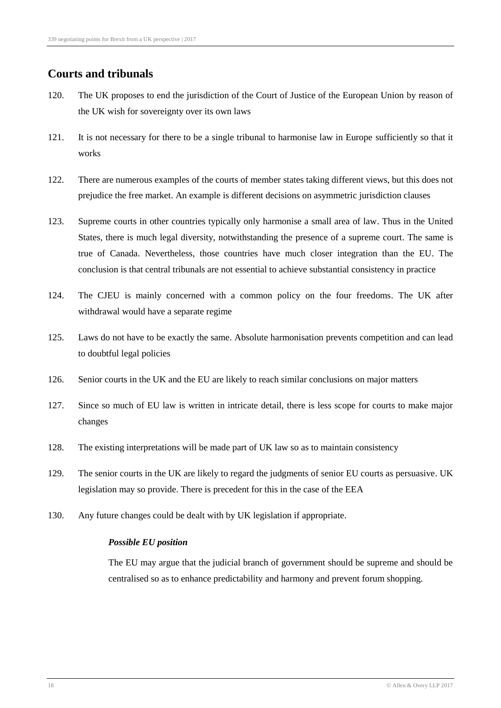# **Courts and tribunals**

- 120. The UK proposes to end the jurisdiction of the Court of Justice of the European Union by reason of the UK wish for sovereignty over its own laws
- 121. It is not necessary for there to be a single tribunal to harmonise law in Europe sufficiently so that it works
- 122. There are numerous examples of the courts of member states taking different views, but this does not prejudice the free market. An example is different decisions on asymmetric jurisdiction clauses
- 123. Supreme courts in other countries typically only harmonise a small area of law. Thus in the United States, there is much legal diversity, notwithstanding the presence of a supreme court. The same is true of Canada. Nevertheless, those countries have much closer integration than the EU. The conclusion is that central tribunals are not essential to achieve substantial consistency in practice
- 124. The CJEU is mainly concerned with a common policy on the four freedoms. The UK after withdrawal would have a separate regime
- 125. Laws do not have to be exactly the same. Absolute harmonisation prevents competition and can lead to doubtful legal policies
- 126. Senior courts in the UK and the EU are likely to reach similar conclusions on major matters
- 127. Since so much of EU law is written in intricate detail, there is less scope for courts to make major changes
- 128. The existing interpretations will be made part of UK law so as to maintain consistency
- 129. The senior courts in the UK are likely to regard the judgments of senior EU courts as persuasive. UK legislation may so provide. There is precedent for this in the case of the EEA
- 130. Any future changes could be dealt with by UK legislation if appropriate.

#### *Possible EU position*

The EU may argue that the judicial branch of government should be supreme and should be centralised so as to enhance predictability and harmony and prevent forum shopping.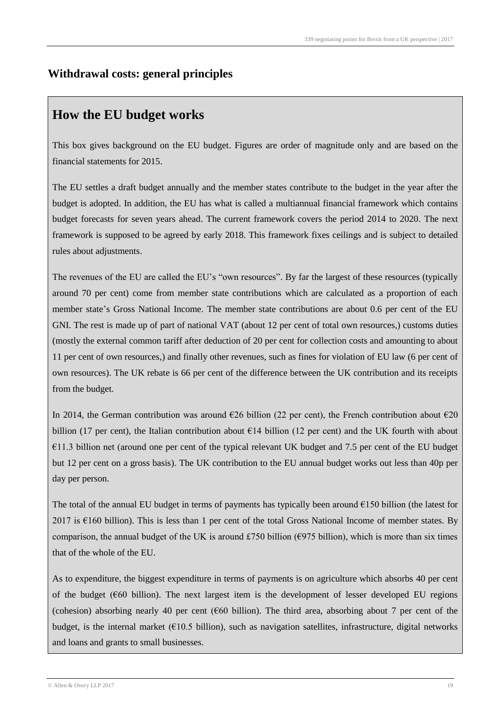# **Withdrawal costs: general principles**

# **How the EU budget works**

This box gives background on the EU budget. Figures are order of magnitude only and are based on the financial statements for 2015.

The EU settles a draft budget annually and the member states contribute to the budget in the year after the budget is adopted. In addition, the EU has what is called a multiannual financial framework which contains budget forecasts for seven years ahead. The current framework covers the period 2014 to 2020. The next framework is supposed to be agreed by early 2018. This framework fixes ceilings and is subject to detailed rules about adjustments.

The revenues of the EU are called the EU's "own resources". By far the largest of these resources (typically around 70 per cent) come from member state contributions which are calculated as a proportion of each member state's Gross National Income. The member state contributions are about 0.6 per cent of the EU GNI. The rest is made up of part of national VAT (about 12 per cent of total own resources,) customs duties (mostly the external common tariff after deduction of 20 per cent for collection costs and amounting to about 11 per cent of own resources,) and finally other revenues, such as fines for violation of EU law (6 per cent of own resources). The UK rebate is 66 per cent of the difference between the UK contribution and its receipts from the budget.

In 2014, the German contribution was around  $\epsilon$ 26 billion (22 per cent), the French contribution about  $\epsilon$ 20 billion (17 per cent), the Italian contribution about  $\epsilon$ 14 billion (12 per cent) and the UK fourth with about €11.3 billion net (around one per cent of the typical relevant UK budget and 7.5 per cent of the EU budget but 12 per cent on a gross basis). The UK contribution to the EU annual budget works out less than 40p per day per person.

The total of the annual EU budget in terms of payments has typically been around  $\epsilon$ 150 billion (the latest for 2017 is €160 billion). This is less than 1 per cent of the total Gross National Income of member states. By comparison, the annual budget of the UK is around £750 billion ( $\epsilon$ 975 billion), which is more than six times that of the whole of the EU.

As to expenditure, the biggest expenditure in terms of payments is on agriculture which absorbs 40 per cent of the budget ( $660$  billion). The next largest item is the development of lesser developed EU regions (cohesion) absorbing nearly 40 per cent ( $660$  billion). The third area, absorbing about 7 per cent of the budget, is the internal market ( $E10.5$  billion), such as navigation satellites, infrastructure, digital networks and loans and grants to small businesses.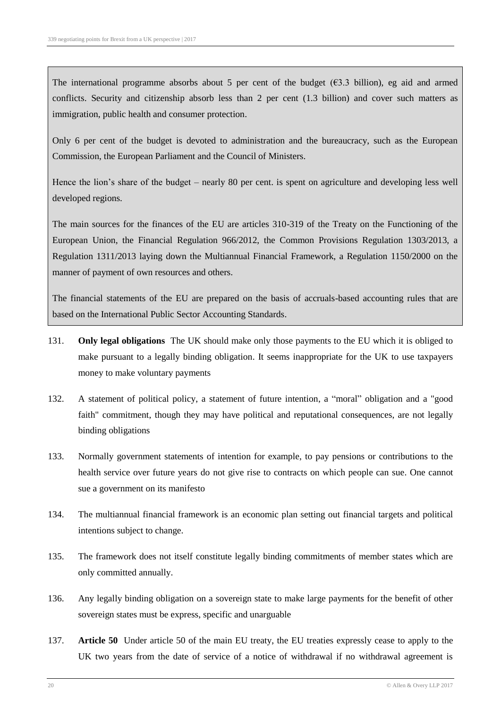The international programme absorbs about 5 per cent of the budget ( $63.3$  billion), eg aid and armed conflicts. Security and citizenship absorb less than 2 per cent (1.3 billion) and cover such matters as immigration, public health and consumer protection.

Only 6 per cent of the budget is devoted to administration and the bureaucracy, such as the European Commission, the European Parliament and the Council of Ministers.

Hence the lion's share of the budget – nearly 80 per cent. is spent on agriculture and developing less well developed regions.

The main sources for the finances of the EU are articles 310-319 of the Treaty on the Functioning of the European Union, the Financial Regulation 966/2012, the Common Provisions Regulation 1303/2013, a Regulation 1311/2013 laying down the Multiannual Financial Framework, a Regulation 1150/2000 on the manner of payment of own resources and others.

The financial statements of the EU are prepared on the basis of accruals-based accounting rules that are based on the International Public Sector Accounting Standards.

- 131. **Only legal obligations** The UK should make only those payments to the EU which it is obliged to make pursuant to a legally binding obligation. It seems inappropriate for the UK to use taxpayers money to make voluntary payments
- 132. A statement of political policy, a statement of future intention, a "moral" obligation and a "good faith" commitment, though they may have political and reputational consequences, are not legally binding obligations
- 133. Normally government statements of intention for example, to pay pensions or contributions to the health service over future years do not give rise to contracts on which people can sue. One cannot sue a government on its manifesto
- 134. The multiannual financial framework is an economic plan setting out financial targets and political intentions subject to change.
- 135. The framework does not itself constitute legally binding commitments of member states which are only committed annually.
- 136. Any legally binding obligation on a sovereign state to make large payments for the benefit of other sovereign states must be express, specific and unarguable
- 137. **Article 50** Under article 50 of the main EU treaty, the EU treaties expressly cease to apply to the UK two years from the date of service of a notice of withdrawal if no withdrawal agreement is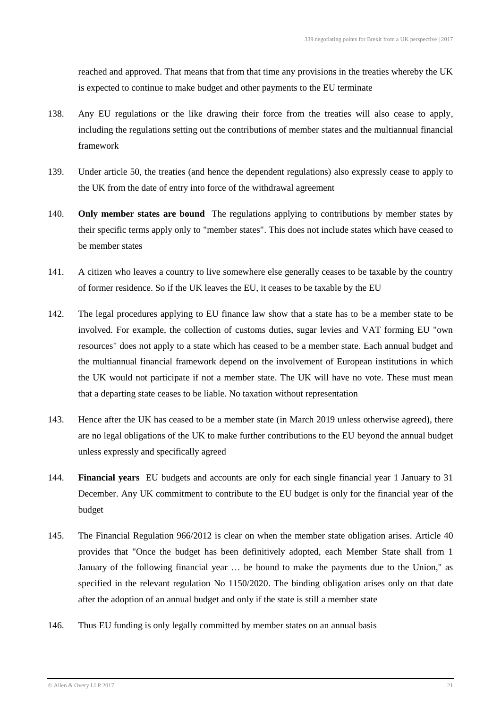reached and approved. That means that from that time any provisions in the treaties whereby the UK is expected to continue to make budget and other payments to the EU terminate

- 138. Any EU regulations or the like drawing their force from the treaties will also cease to apply, including the regulations setting out the contributions of member states and the multiannual financial framework
- 139. Under article 50, the treaties (and hence the dependent regulations) also expressly cease to apply to the UK from the date of entry into force of the withdrawal agreement
- 140. **Only member states are bound** The regulations applying to contributions by member states by their specific terms apply only to "member states". This does not include states which have ceased to be member states
- 141. A citizen who leaves a country to live somewhere else generally ceases to be taxable by the country of former residence. So if the UK leaves the EU, it ceases to be taxable by the EU
- 142. The legal procedures applying to EU finance law show that a state has to be a member state to be involved. For example, the collection of customs duties, sugar levies and VAT forming EU "own resources" does not apply to a state which has ceased to be a member state. Each annual budget and the multiannual financial framework depend on the involvement of European institutions in which the UK would not participate if not a member state. The UK will have no vote. These must mean that a departing state ceases to be liable. No taxation without representation
- 143. Hence after the UK has ceased to be a member state (in March 2019 unless otherwise agreed), there are no legal obligations of the UK to make further contributions to the EU beyond the annual budget unless expressly and specifically agreed
- 144. **Financial years** EU budgets and accounts are only for each single financial year 1 January to 31 December. Any UK commitment to contribute to the EU budget is only for the financial year of the budget
- 145. The Financial Regulation 966/2012 is clear on when the member state obligation arises. Article 40 provides that "Once the budget has been definitively adopted, each Member State shall from 1 January of the following financial year … be bound to make the payments due to the Union," as specified in the relevant regulation No 1150/2020. The binding obligation arises only on that date after the adoption of an annual budget and only if the state is still a member state
- 146. Thus EU funding is only legally committed by member states on an annual basis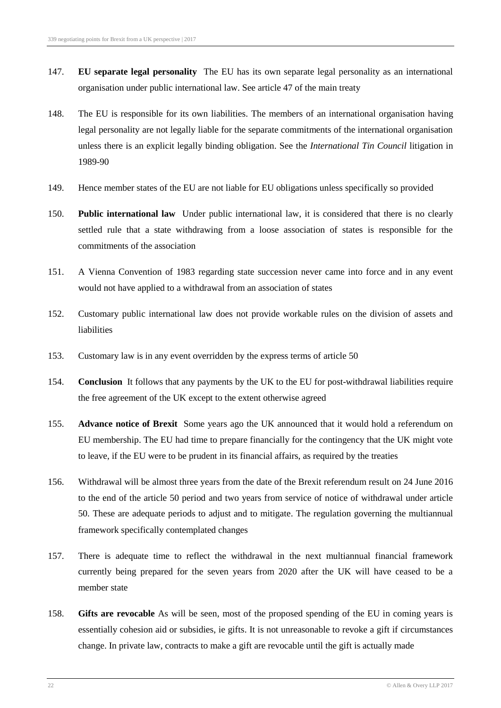- 147. **EU separate legal personality** The EU has its own separate legal personality as an international organisation under public international law. See article 47 of the main treaty
- 148. The EU is responsible for its own liabilities. The members of an international organisation having legal personality are not legally liable for the separate commitments of the international organisation unless there is an explicit legally binding obligation. See the *International Tin Council* litigation in 1989-90
- 149. Hence member states of the EU are not liable for EU obligations unless specifically so provided
- 150. **Public international law** Under public international law, it is considered that there is no clearly settled rule that a state withdrawing from a loose association of states is responsible for the commitments of the association
- 151. A Vienna Convention of 1983 regarding state succession never came into force and in any event would not have applied to a withdrawal from an association of states
- 152. Customary public international law does not provide workable rules on the division of assets and liabilities
- 153. Customary law is in any event overridden by the express terms of article 50
- 154. **Conclusion** It follows that any payments by the UK to the EU for post-withdrawal liabilities require the free agreement of the UK except to the extent otherwise agreed
- 155. **Advance notice of Brexit** Some years ago the UK announced that it would hold a referendum on EU membership. The EU had time to prepare financially for the contingency that the UK might vote to leave, if the EU were to be prudent in its financial affairs, as required by the treaties
- 156. Withdrawal will be almost three years from the date of the Brexit referendum result on 24 June 2016 to the end of the article 50 period and two years from service of notice of withdrawal under article 50. These are adequate periods to adjust and to mitigate. The regulation governing the multiannual framework specifically contemplated changes
- 157. There is adequate time to reflect the withdrawal in the next multiannual financial framework currently being prepared for the seven years from 2020 after the UK will have ceased to be a member state
- 158. **Gifts are revocable** As will be seen, most of the proposed spending of the EU in coming years is essentially cohesion aid or subsidies, ie gifts. It is not unreasonable to revoke a gift if circumstances change. In private law, contracts to make a gift are revocable until the gift is actually made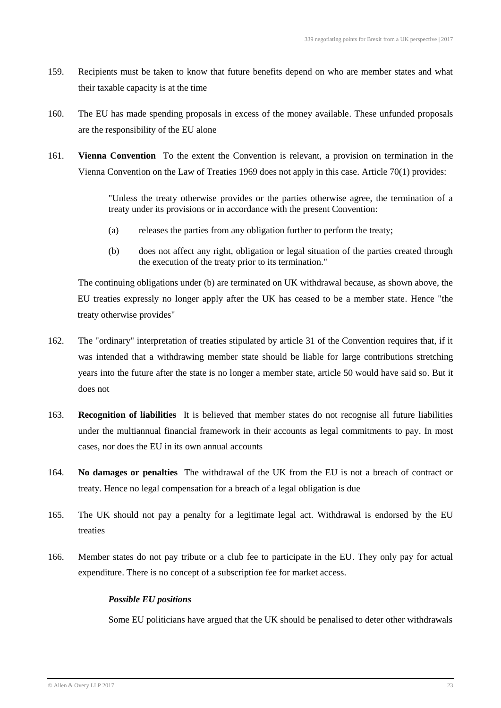- 159. Recipients must be taken to know that future benefits depend on who are member states and what their taxable capacity is at the time
- 160. The EU has made spending proposals in excess of the money available. These unfunded proposals are the responsibility of the EU alone
- 161. **Vienna Convention** To the extent the Convention is relevant, a provision on termination in the Vienna Convention on the Law of Treaties 1969 does not apply in this case. Article 70(1) provides:

"Unless the treaty otherwise provides or the parties otherwise agree, the termination of a treaty under its provisions or in accordance with the present Convention:

- (a) releases the parties from any obligation further to perform the treaty;
- (b) does not affect any right, obligation or legal situation of the parties created through the execution of the treaty prior to its termination."

The continuing obligations under (b) are terminated on UK withdrawal because, as shown above, the EU treaties expressly no longer apply after the UK has ceased to be a member state. Hence "the treaty otherwise provides"

- 162. The "ordinary" interpretation of treaties stipulated by article 31 of the Convention requires that, if it was intended that a withdrawing member state should be liable for large contributions stretching years into the future after the state is no longer a member state, article 50 would have said so. But it does not
- 163. **Recognition of liabilities** It is believed that member states do not recognise all future liabilities under the multiannual financial framework in their accounts as legal commitments to pay. In most cases, nor does the EU in its own annual accounts
- 164. **No damages or penalties** The withdrawal of the UK from the EU is not a breach of contract or treaty. Hence no legal compensation for a breach of a legal obligation is due
- 165. The UK should not pay a penalty for a legitimate legal act. Withdrawal is endorsed by the EU treaties
- 166. Member states do not pay tribute or a club fee to participate in the EU. They only pay for actual expenditure. There is no concept of a subscription fee for market access.

#### *Possible EU positions*

Some EU politicians have argued that the UK should be penalised to deter other withdrawals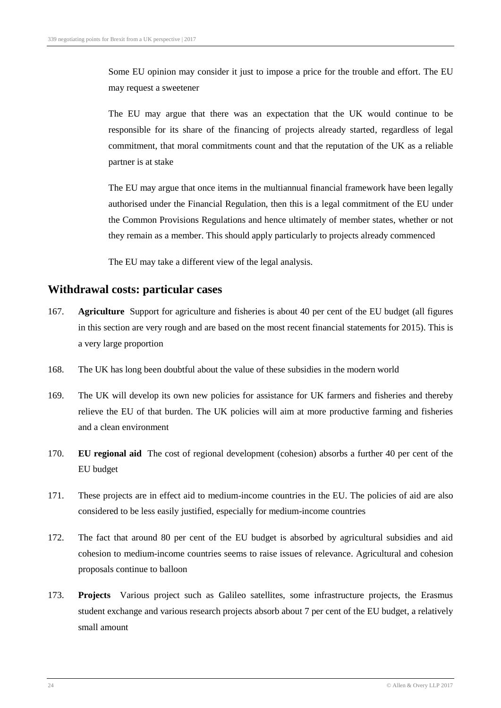Some EU opinion may consider it just to impose a price for the trouble and effort. The EU may request a sweetener

The EU may argue that there was an expectation that the UK would continue to be responsible for its share of the financing of projects already started, regardless of legal commitment, that moral commitments count and that the reputation of the UK as a reliable partner is at stake

The EU may argue that once items in the multiannual financial framework have been legally authorised under the Financial Regulation, then this is a legal commitment of the EU under the Common Provisions Regulations and hence ultimately of member states, whether or not they remain as a member. This should apply particularly to projects already commenced

The EU may take a different view of the legal analysis.

#### **Withdrawal costs: particular cases**

- 167. **Agriculture** Support for agriculture and fisheries is about 40 per cent of the EU budget (all figures in this section are very rough and are based on the most recent financial statements for 2015). This is a very large proportion
- 168. The UK has long been doubtful about the value of these subsidies in the modern world
- 169. The UK will develop its own new policies for assistance for UK farmers and fisheries and thereby relieve the EU of that burden. The UK policies will aim at more productive farming and fisheries and a clean environment
- 170. **EU regional aid** The cost of regional development (cohesion) absorbs a further 40 per cent of the EU budget
- 171. These projects are in effect aid to medium-income countries in the EU. The policies of aid are also considered to be less easily justified, especially for medium-income countries
- 172. The fact that around 80 per cent of the EU budget is absorbed by agricultural subsidies and aid cohesion to medium-income countries seems to raise issues of relevance. Agricultural and cohesion proposals continue to balloon
- 173. **Projects** Various project such as Galileo satellites, some infrastructure projects, the Erasmus student exchange and various research projects absorb about 7 per cent of the EU budget, a relatively small amount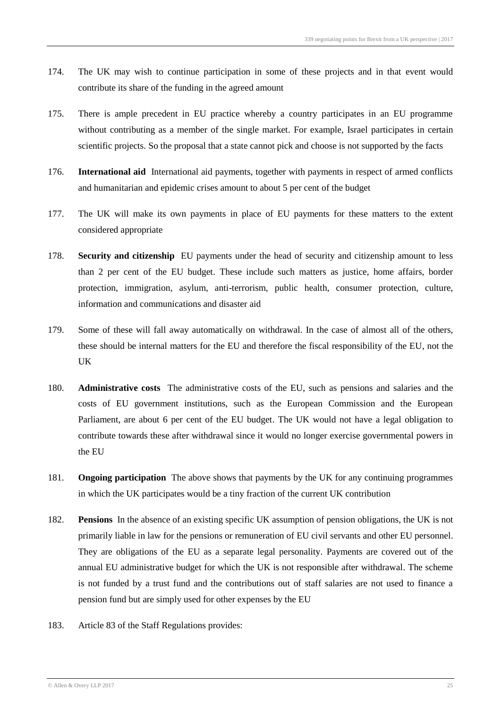- 174. The UK may wish to continue participation in some of these projects and in that event would contribute its share of the funding in the agreed amount
- 175. There is ample precedent in EU practice whereby a country participates in an EU programme without contributing as a member of the single market. For example, Israel participates in certain scientific projects. So the proposal that a state cannot pick and choose is not supported by the facts
- 176. **International aid** International aid payments, together with payments in respect of armed conflicts and humanitarian and epidemic crises amount to about 5 per cent of the budget
- 177. The UK will make its own payments in place of EU payments for these matters to the extent considered appropriate
- 178. **Security and citizenship** EU payments under the head of security and citizenship amount to less than 2 per cent of the EU budget. These include such matters as justice, home affairs, border protection, immigration, asylum, anti-terrorism, public health, consumer protection, culture, information and communications and disaster aid
- 179. Some of these will fall away automatically on withdrawal. In the case of almost all of the others, these should be internal matters for the EU and therefore the fiscal responsibility of the EU, not the UK
- 180. **Administrative costs** The administrative costs of the EU, such as pensions and salaries and the costs of EU government institutions, such as the European Commission and the European Parliament, are about 6 per cent of the EU budget. The UK would not have a legal obligation to contribute towards these after withdrawal since it would no longer exercise governmental powers in the EU
- 181. **Ongoing participation** The above shows that payments by the UK for any continuing programmes in which the UK participates would be a tiny fraction of the current UK contribution
- 182. **Pensions** In the absence of an existing specific UK assumption of pension obligations, the UK is not primarily liable in law for the pensions or remuneration of EU civil servants and other EU personnel. They are obligations of the EU as a separate legal personality. Payments are covered out of the annual EU administrative budget for which the UK is not responsible after withdrawal. The scheme is not funded by a trust fund and the contributions out of staff salaries are not used to finance a pension fund but are simply used for other expenses by the EU
- 183. Article 83 of the Staff Regulations provides: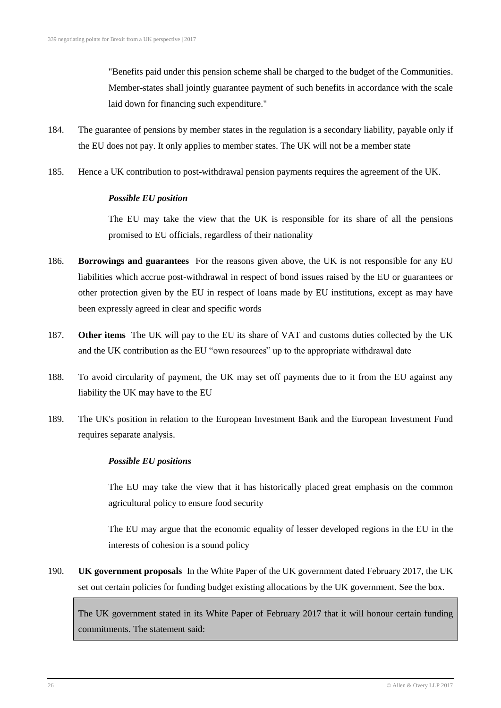"Benefits paid under this pension scheme shall be charged to the budget of the Communities. Member-states shall jointly guarantee payment of such benefits in accordance with the scale laid down for financing such expenditure."

- 184. The guarantee of pensions by member states in the regulation is a secondary liability, payable only if the EU does not pay. It only applies to member states. The UK will not be a member state
- 185. Hence a UK contribution to post-withdrawal pension payments requires the agreement of the UK.

#### *Possible EU position*

The EU may take the view that the UK is responsible for its share of all the pensions promised to EU officials, regardless of their nationality

- 186. **Borrowings and guarantees** For the reasons given above, the UK is not responsible for any EU liabilities which accrue post-withdrawal in respect of bond issues raised by the EU or guarantees or other protection given by the EU in respect of loans made by EU institutions, except as may have been expressly agreed in clear and specific words
- 187. **Other items** The UK will pay to the EU its share of VAT and customs duties collected by the UK and the UK contribution as the EU "own resources" up to the appropriate withdrawal date
- 188. To avoid circularity of payment, the UK may set off payments due to it from the EU against any liability the UK may have to the EU
- 189. The UK's position in relation to the European Investment Bank and the European Investment Fund requires separate analysis.

#### *Possible EU positions*

The EU may take the view that it has historically placed great emphasis on the common agricultural policy to ensure food security

The EU may argue that the economic equality of lesser developed regions in the EU in the interests of cohesion is a sound policy

190. **UK government proposals** In the White Paper of the UK government dated February 2017, the UK set out certain policies for funding budget existing allocations by the UK government. See the box.

The UK government stated in its White Paper of February 2017 that it will honour certain funding commitments. The statement said: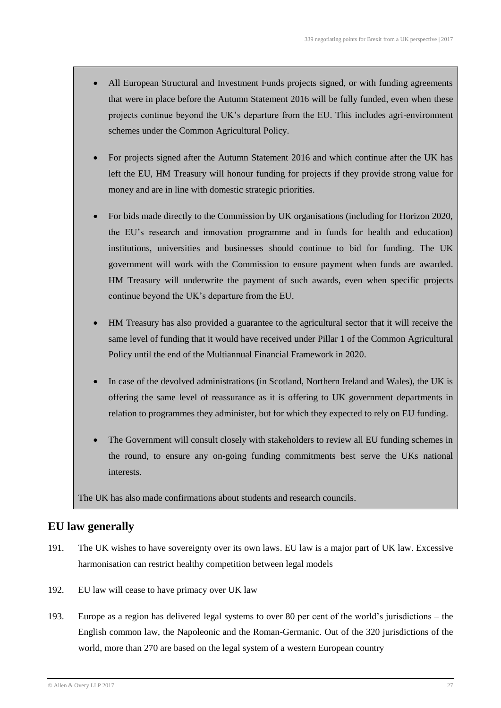- All European Structural and Investment Funds projects signed, or with funding agreements that were in place before the Autumn Statement 2016 will be fully funded, even when these projects continue beyond the UK's departure from the EU. This includes agri-environment schemes under the Common Agricultural Policy.
- For projects signed after the Autumn Statement 2016 and which continue after the UK has left the EU, HM Treasury will honour funding for projects if they provide strong value for money and are in line with domestic strategic priorities.
- For bids made directly to the Commission by UK organisations (including for Horizon 2020, the EU's research and innovation programme and in funds for health and education) institutions, universities and businesses should continue to bid for funding. The UK government will work with the Commission to ensure payment when funds are awarded. HM Treasury will underwrite the payment of such awards, even when specific projects continue beyond the UK's departure from the EU.
- HM Treasury has also provided a guarantee to the agricultural sector that it will receive the same level of funding that it would have received under Pillar 1 of the Common Agricultural Policy until the end of the Multiannual Financial Framework in 2020.
- In case of the devolved administrations (in Scotland, Northern Ireland and Wales), the UK is offering the same level of reassurance as it is offering to UK government departments in relation to programmes they administer, but for which they expected to rely on EU funding.
- The Government will consult closely with stakeholders to review all EU funding schemes in the round, to ensure any on-going funding commitments best serve the UKs national interests.

The UK has also made confirmations about students and research councils.

### **EU law generally**

- 191. The UK wishes to have sovereignty over its own laws. EU law is a major part of UK law. Excessive harmonisation can restrict healthy competition between legal models
- 192. EU law will cease to have primacy over UK law
- 193. Europe as a region has delivered legal systems to over 80 per cent of the world's jurisdictions the English common law, the Napoleonic and the Roman-Germanic. Out of the 320 jurisdictions of the world, more than 270 are based on the legal system of a western European country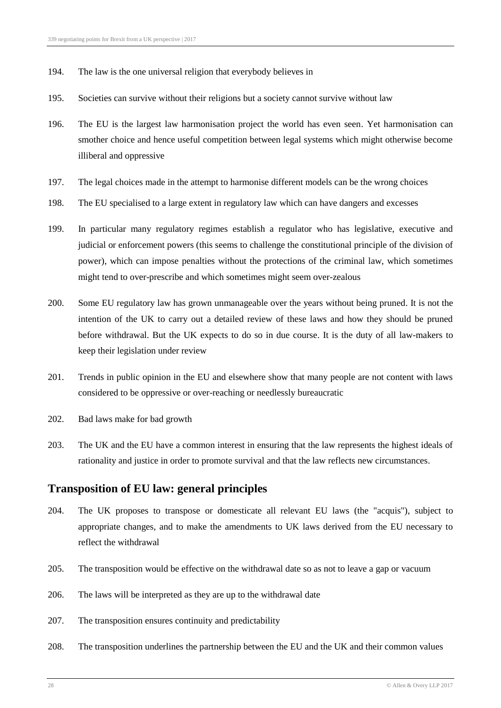- 194. The law is the one universal religion that everybody believes in
- 195. Societies can survive without their religions but a society cannot survive without law
- 196. The EU is the largest law harmonisation project the world has even seen. Yet harmonisation can smother choice and hence useful competition between legal systems which might otherwise become illiberal and oppressive
- 197. The legal choices made in the attempt to harmonise different models can be the wrong choices
- 198. The EU specialised to a large extent in regulatory law which can have dangers and excesses
- 199. In particular many regulatory regimes establish a regulator who has legislative, executive and judicial or enforcement powers (this seems to challenge the constitutional principle of the division of power), which can impose penalties without the protections of the criminal law, which sometimes might tend to over-prescribe and which sometimes might seem over-zealous
- 200. Some EU regulatory law has grown unmanageable over the years without being pruned. It is not the intention of the UK to carry out a detailed review of these laws and how they should be pruned before withdrawal. But the UK expects to do so in due course. It is the duty of all law-makers to keep their legislation under review
- 201. Trends in public opinion in the EU and elsewhere show that many people are not content with laws considered to be oppressive or over-reaching or needlessly bureaucratic
- 202. Bad laws make for bad growth
- 203. The UK and the EU have a common interest in ensuring that the law represents the highest ideals of rationality and justice in order to promote survival and that the law reflects new circumstances.

#### **Transposition of EU law: general principles**

- 204. The UK proposes to transpose or domesticate all relevant EU laws (the "acquis"), subject to appropriate changes, and to make the amendments to UK laws derived from the EU necessary to reflect the withdrawal
- 205. The transposition would be effective on the withdrawal date so as not to leave a gap or vacuum
- 206. The laws will be interpreted as they are up to the withdrawal date
- 207. The transposition ensures continuity and predictability
- 208. The transposition underlines the partnership between the EU and the UK and their common values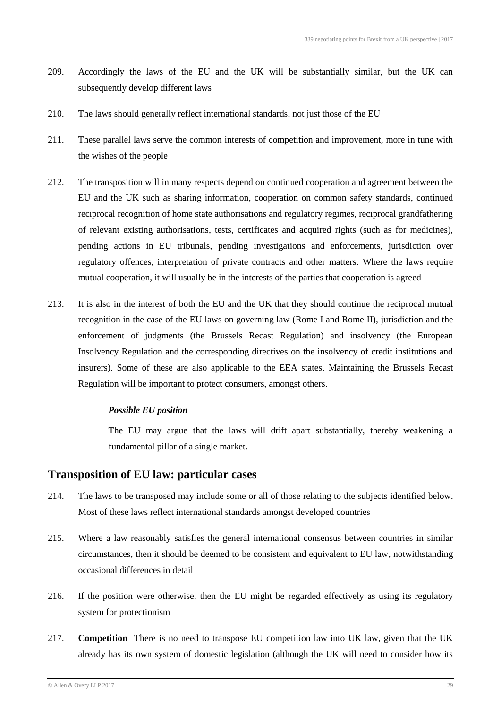- 209. Accordingly the laws of the EU and the UK will be substantially similar, but the UK can subsequently develop different laws
- 210. The laws should generally reflect international standards, not just those of the EU
- 211. These parallel laws serve the common interests of competition and improvement, more in tune with the wishes of the people
- 212. The transposition will in many respects depend on continued cooperation and agreement between the EU and the UK such as sharing information, cooperation on common safety standards, continued reciprocal recognition of home state authorisations and regulatory regimes, reciprocal grandfathering of relevant existing authorisations, tests, certificates and acquired rights (such as for medicines), pending actions in EU tribunals, pending investigations and enforcements, jurisdiction over regulatory offences, interpretation of private contracts and other matters. Where the laws require mutual cooperation, it will usually be in the interests of the parties that cooperation is agreed
- 213. It is also in the interest of both the EU and the UK that they should continue the reciprocal mutual recognition in the case of the EU laws on governing law (Rome I and Rome II), jurisdiction and the enforcement of judgments (the Brussels Recast Regulation) and insolvency (the European Insolvency Regulation and the corresponding directives on the insolvency of credit institutions and insurers). Some of these are also applicable to the EEA states. Maintaining the Brussels Recast Regulation will be important to protect consumers, amongst others.

The EU may argue that the laws will drift apart substantially, thereby weakening a fundamental pillar of a single market.

#### **Transposition of EU law: particular cases**

- 214. The laws to be transposed may include some or all of those relating to the subjects identified below. Most of these laws reflect international standards amongst developed countries
- 215. Where a law reasonably satisfies the general international consensus between countries in similar circumstances, then it should be deemed to be consistent and equivalent to EU law, notwithstanding occasional differences in detail
- 216. If the position were otherwise, then the EU might be regarded effectively as using its regulatory system for protectionism
- 217. **Competition** There is no need to transpose EU competition law into UK law, given that the UK already has its own system of domestic legislation (although the UK will need to consider how its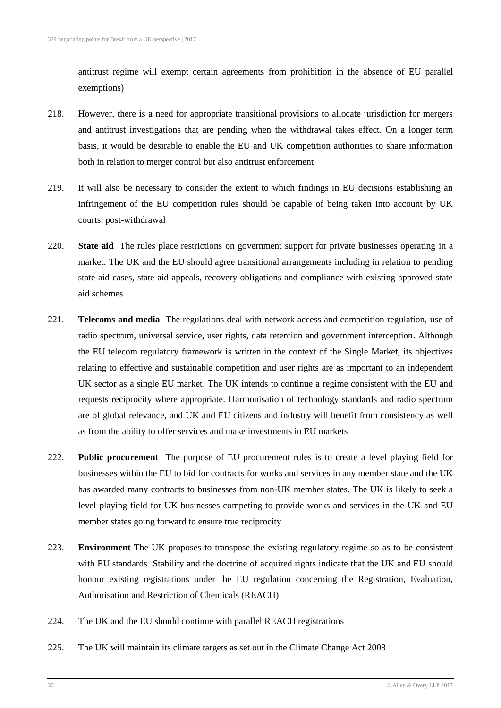antitrust regime will exempt certain agreements from prohibition in the absence of EU parallel exemptions)

- 218. However, there is a need for appropriate transitional provisions to allocate jurisdiction for mergers and antitrust investigations that are pending when the withdrawal takes effect. On a longer term basis, it would be desirable to enable the EU and UK competition authorities to share information both in relation to merger control but also antitrust enforcement
- 219. It will also be necessary to consider the extent to which findings in EU decisions establishing an infringement of the EU competition rules should be capable of being taken into account by UK courts, post-withdrawal
- 220. **State aid** The rules place restrictions on government support for private businesses operating in a market. The UK and the EU should agree transitional arrangements including in relation to pending state aid cases, state aid appeals, recovery obligations and compliance with existing approved state aid schemes
- 221. **Telecoms and media** The regulations deal with network access and competition regulation, use of radio spectrum, universal service, user rights, data retention and government interception. Although the EU telecom regulatory framework is written in the context of the Single Market, its objectives relating to effective and sustainable competition and user rights are as important to an independent UK sector as a single EU market. The UK intends to continue a regime consistent with the EU and requests reciprocity where appropriate. Harmonisation of technology standards and radio spectrum are of global relevance, and UK and EU citizens and industry will benefit from consistency as well as from the ability to offer services and make investments in EU markets
- 222. **Public procurement** The purpose of EU procurement rules is to create a level playing field for businesses within the EU to bid for contracts for works and services in any member state and the UK has awarded many contracts to businesses from non-UK member states. The UK is likely to seek a level playing field for UK businesses competing to provide works and services in the UK and EU member states going forward to ensure true reciprocity
- 223. **Environment** The UK proposes to transpose the existing regulatory regime so as to be consistent with EU standards Stability and the doctrine of acquired rights indicate that the UK and EU should honour existing registrations under the EU regulation concerning the Registration, Evaluation, Authorisation and Restriction of Chemicals (REACH)
- 224. The UK and the EU should continue with parallel REACH registrations
- 225. The UK will maintain its climate targets as set out in the Climate Change Act 2008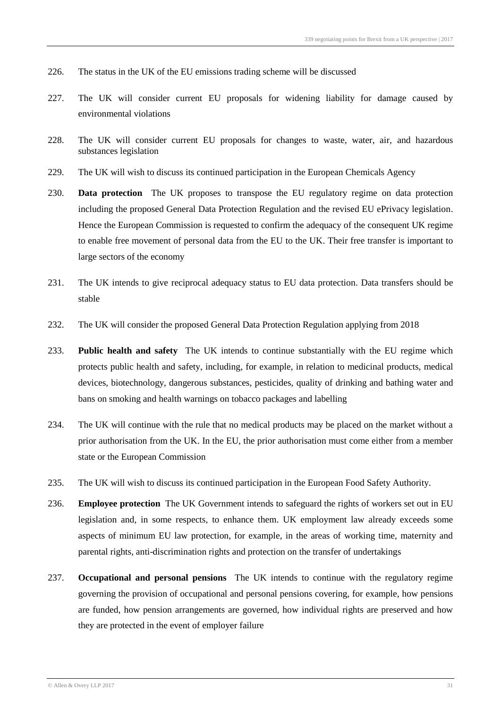- 226. The status in the UK of the EU emissions trading scheme will be discussed
- 227. The UK will consider current EU proposals for widening liability for damage caused by environmental violations
- 228. The UK will consider current EU proposals for changes to waste, water, air, and hazardous substances legislation
- 229. The UK will wish to discuss its continued participation in the European Chemicals Agency
- 230. **Data protection** The UK proposes to transpose the EU regulatory regime on data protection including the proposed General Data Protection Regulation and the revised EU ePrivacy legislation. Hence the European Commission is requested to confirm the adequacy of the consequent UK regime to enable free movement of personal data from the EU to the UK. Their free transfer is important to large sectors of the economy
- 231. The UK intends to give reciprocal adequacy status to EU data protection. Data transfers should be stable
- 232. The UK will consider the proposed General Data Protection Regulation applying from 2018
- 233. **Public health and safety** The UK intends to continue substantially with the EU regime which protects public health and safety, including, for example, in relation to medicinal products, medical devices, biotechnology, dangerous substances, pesticides, quality of drinking and bathing water and bans on smoking and health warnings on tobacco packages and labelling
- 234. The UK will continue with the rule that no medical products may be placed on the market without a prior authorisation from the UK. In the EU, the prior authorisation must come either from a member state or the European Commission
- 235. The UK will wish to discuss its continued participation in the European Food Safety Authority.
- 236. **Employee protection** The UK Government intends to safeguard the rights of workers set out in EU legislation and, in some respects, to enhance them. UK employment law already exceeds some aspects of minimum EU law protection, for example, in the areas of working time, maternity and parental rights, anti-discrimination rights and protection on the transfer of undertakings
- 237. **Occupational and personal pensions** The UK intends to continue with the regulatory regime governing the provision of occupational and personal pensions covering, for example, how pensions are funded, how pension arrangements are governed, how individual rights are preserved and how they are protected in the event of employer failure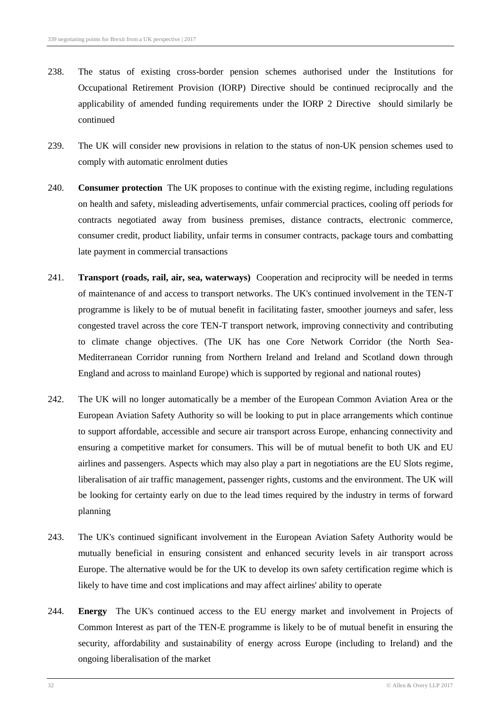- 238. The status of existing cross-border pension schemes authorised under the Institutions for Occupational Retirement Provision (IORP) Directive should be continued reciprocally and the applicability of amended funding requirements under the IORP 2 Directive should similarly be continued
- 239. The UK will consider new provisions in relation to the status of non-UK pension schemes used to comply with automatic enrolment duties
- 240. **Consumer protection** The UK proposes to continue with the existing regime, including regulations on health and safety, misleading advertisements, unfair commercial practices, cooling off periods for contracts negotiated away from business premises, distance contracts, electronic commerce, consumer credit, product liability, unfair terms in consumer contracts, package tours and combatting late payment in commercial transactions
- 241. **Transport (roads, rail, air, sea, waterways)** Cooperation and reciprocity will be needed in terms of maintenance of and access to transport networks. The UK's continued involvement in the TEN-T programme is likely to be of mutual benefit in facilitating faster, smoother journeys and safer, less congested travel across the core TEN-T transport network, improving connectivity and contributing to climate change objectives. (The UK has one Core Network Corridor (the North Sea-Mediterranean Corridor running from Northern Ireland and Ireland and Scotland down through England and across to mainland Europe) which is supported by regional and national routes)
- 242. The UK will no longer automatically be a member of the European Common Aviation Area or the European Aviation Safety Authority so will be looking to put in place arrangements which continue to support affordable, accessible and secure air transport across Europe, enhancing connectivity and ensuring a competitive market for consumers. This will be of mutual benefit to both UK and EU airlines and passengers. Aspects which may also play a part in negotiations are the EU Slots regime, liberalisation of air traffic management, passenger rights, customs and the environment. The UK will be looking for certainty early on due to the lead times required by the industry in terms of forward planning
- 243. The UK's continued significant involvement in the European Aviation Safety Authority would be mutually beneficial in ensuring consistent and enhanced security levels in air transport across Europe. The alternative would be for the UK to develop its own safety certification regime which is likely to have time and cost implications and may affect airlines' ability to operate
- 244. **Energy** The UK's continued access to the EU energy market and involvement in Projects of Common Interest as part of the TEN-E programme is likely to be of mutual benefit in ensuring the security, affordability and sustainability of energy across Europe (including to Ireland) and the ongoing liberalisation of the market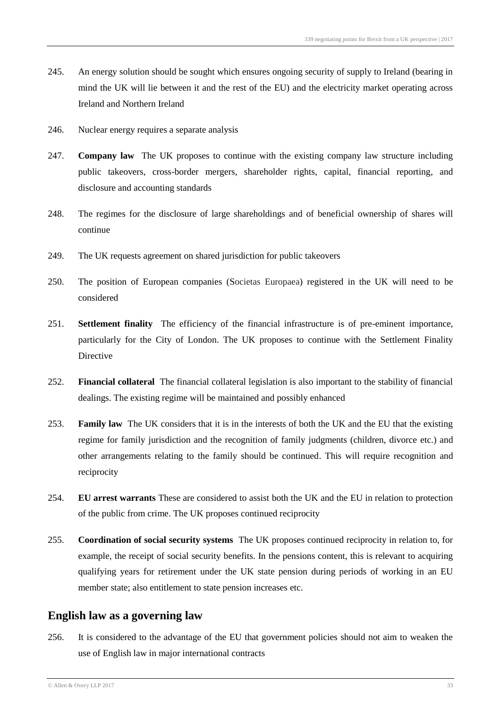- 245. An energy solution should be sought which ensures ongoing security of supply to Ireland (bearing in mind the UK will lie between it and the rest of the EU) and the electricity market operating across Ireland and Northern Ireland
- 246. Nuclear energy requires a separate analysis
- 247. **Company law** The UK proposes to continue with the existing company law structure including public takeovers, cross-border mergers, shareholder rights, capital, financial reporting, and disclosure and accounting standards
- 248. The regimes for the disclosure of large shareholdings and of beneficial ownership of shares will continue
- 249. The UK requests agreement on shared jurisdiction for public takeovers
- 250. The position of European companies (Societas Europaea) registered in the UK will need to be considered
- 251. **Settlement finality** The efficiency of the financial infrastructure is of pre-eminent importance, particularly for the City of London. The UK proposes to continue with the Settlement Finality **Directive**
- 252. **Financial collateral** The financial collateral legislation is also important to the stability of financial dealings. The existing regime will be maintained and possibly enhanced
- 253. **Family law** The UK considers that it is in the interests of both the UK and the EU that the existing regime for family jurisdiction and the recognition of family judgments (children, divorce etc.) and other arrangements relating to the family should be continued. This will require recognition and reciprocity
- 254. **EU arrest warrants** These are considered to assist both the UK and the EU in relation to protection of the public from crime. The UK proposes continued reciprocity
- 255. **Coordination of social security systems** The UK proposes continued reciprocity in relation to, for example, the receipt of social security benefits. In the pensions content, this is relevant to acquiring qualifying years for retirement under the UK state pension during periods of working in an EU member state; also entitlement to state pension increases etc.

#### **English law as a governing law**

256. It is considered to the advantage of the EU that government policies should not aim to weaken the use of English law in major international contracts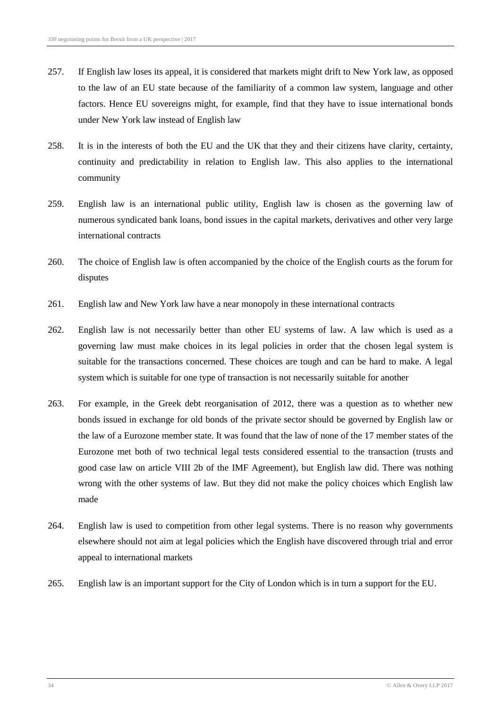- 257. If English law loses its appeal, it is considered that markets might drift to New York law, as opposed to the law of an EU state because of the familiarity of a common law system, language and other factors. Hence EU sovereigns might, for example, find that they have to issue international bonds under New York law instead of English law
- 258. It is in the interests of both the EU and the UK that they and their citizens have clarity, certainty, continuity and predictability in relation to English law. This also applies to the international community
- 259. English law is an international public utility, English law is chosen as the governing law of numerous syndicated bank loans, bond issues in the capital markets, derivatives and other very large international contracts
- 260. The choice of English law is often accompanied by the choice of the English courts as the forum for disputes
- 261. English law and New York law have a near monopoly in these international contracts
- 262. English law is not necessarily better than other EU systems of law. A law which is used as a governing law must make choices in its legal policies in order that the chosen legal system is suitable for the transactions concerned. These choices are tough and can be hard to make. A legal system which is suitable for one type of transaction is not necessarily suitable for another
- 263. For example, in the Greek debt reorganisation of 2012, there was a question as to whether new bonds issued in exchange for old bonds of the private sector should be governed by English law or the law of a Eurozone member state. It was found that the law of none of the 17 member states of the Eurozone met both of two technical legal tests considered essential to the transaction (trusts and good case law on article VIII 2b of the IMF Agreement), but English law did. There was nothing wrong with the other systems of law. But they did not make the policy choices which English law made
- 264. English law is used to competition from other legal systems. There is no reason why governments elsewhere should not aim at legal policies which the English have discovered through trial and error appeal to international markets
- 265. English law is an important support for the City of London which is in turn a support for the EU.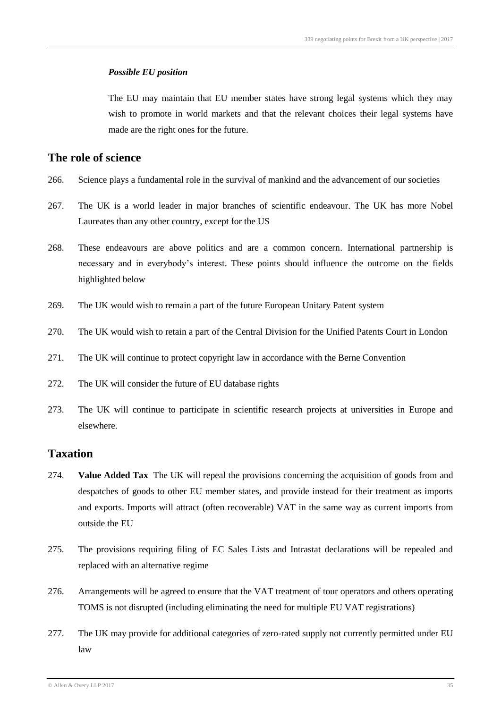The EU may maintain that EU member states have strong legal systems which they may wish to promote in world markets and that the relevant choices their legal systems have made are the right ones for the future.

### **The role of science**

- 266. Science plays a fundamental role in the survival of mankind and the advancement of our societies
- 267. The UK is a world leader in major branches of scientific endeavour. The UK has more Nobel Laureates than any other country, except for the US
- 268. These endeavours are above politics and are a common concern. International partnership is necessary and in everybody's interest. These points should influence the outcome on the fields highlighted below
- 269. The UK would wish to remain a part of the future European Unitary Patent system
- 270. The UK would wish to retain a part of the Central Division for the Unified Patents Court in London
- 271. The UK will continue to protect copyright law in accordance with the Berne Convention
- 272. The UK will consider the future of EU database rights
- 273. The UK will continue to participate in scientific research projects at universities in Europe and elsewhere.

### **Taxation**

- 274. **Value Added Tax** The UK will repeal the provisions concerning the acquisition of goods from and despatches of goods to other EU member states, and provide instead for their treatment as imports and exports. Imports will attract (often recoverable) VAT in the same way as current imports from outside the EU
- 275. The provisions requiring filing of EC Sales Lists and Intrastat declarations will be repealed and replaced with an alternative regime
- 276. Arrangements will be agreed to ensure that the VAT treatment of tour operators and others operating TOMS is not disrupted (including eliminating the need for multiple EU VAT registrations)
- 277. The UK may provide for additional categories of zero-rated supply not currently permitted under EU law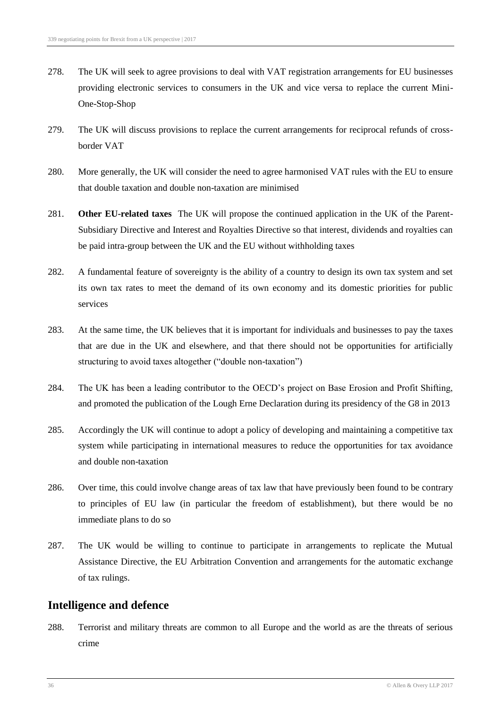- 278. The UK will seek to agree provisions to deal with VAT registration arrangements for EU businesses providing electronic services to consumers in the UK and vice versa to replace the current Mini-One-Stop-Shop
- 279. The UK will discuss provisions to replace the current arrangements for reciprocal refunds of crossborder VAT
- 280. More generally, the UK will consider the need to agree harmonised VAT rules with the EU to ensure that double taxation and double non-taxation are minimised
- 281. **Other EU-related taxes** The UK will propose the continued application in the UK of the Parent-Subsidiary Directive and Interest and Royalties Directive so that interest, dividends and royalties can be paid intra-group between the UK and the EU without withholding taxes
- 282. A fundamental feature of sovereignty is the ability of a country to design its own tax system and set its own tax rates to meet the demand of its own economy and its domestic priorities for public services
- 283. At the same time, the UK believes that it is important for individuals and businesses to pay the taxes that are due in the UK and elsewhere, and that there should not be opportunities for artificially structuring to avoid taxes altogether ("double non-taxation")
- 284. The UK has been a leading contributor to the OECD's project on Base Erosion and Profit Shifting, and promoted the publication of the Lough Erne Declaration during its presidency of the G8 in 2013
- 285. Accordingly the UK will continue to adopt a policy of developing and maintaining a competitive tax system while participating in international measures to reduce the opportunities for tax avoidance and double non-taxation
- 286. Over time, this could involve change areas of tax law that have previously been found to be contrary to principles of EU law (in particular the freedom of establishment), but there would be no immediate plans to do so
- 287. The UK would be willing to continue to participate in arrangements to replicate the Mutual Assistance Directive, the EU Arbitration Convention and arrangements for the automatic exchange of tax rulings.

#### **Intelligence and defence**

288. Terrorist and military threats are common to all Europe and the world as are the threats of serious crime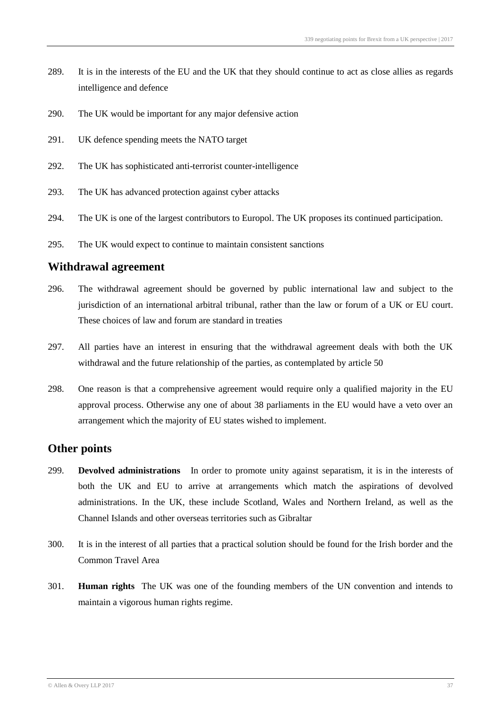- 289. It is in the interests of the EU and the UK that they should continue to act as close allies as regards intelligence and defence
- 290. The UK would be important for any major defensive action
- 291. UK defence spending meets the NATO target
- 292. The UK has sophisticated anti-terrorist counter-intelligence
- 293. The UK has advanced protection against cyber attacks
- 294. The UK is one of the largest contributors to Europol. The UK proposes its continued participation.
- 295. The UK would expect to continue to maintain consistent sanctions

#### **Withdrawal agreement**

- 296. The withdrawal agreement should be governed by public international law and subject to the jurisdiction of an international arbitral tribunal, rather than the law or forum of a UK or EU court. These choices of law and forum are standard in treaties
- 297. All parties have an interest in ensuring that the withdrawal agreement deals with both the UK withdrawal and the future relationship of the parties, as contemplated by article 50
- 298. One reason is that a comprehensive agreement would require only a qualified majority in the EU approval process. Otherwise any one of about 38 parliaments in the EU would have a veto over an arrangement which the majority of EU states wished to implement.

#### **Other points**

- 299. **Devolved administrations** In order to promote unity against separatism, it is in the interests of both the UK and EU to arrive at arrangements which match the aspirations of devolved administrations. In the UK, these include Scotland, Wales and Northern Ireland, as well as the Channel Islands and other overseas territories such as Gibraltar
- 300. It is in the interest of all parties that a practical solution should be found for the Irish border and the Common Travel Area
- 301. **Human rights** The UK was one of the founding members of the UN convention and intends to maintain a vigorous human rights regime.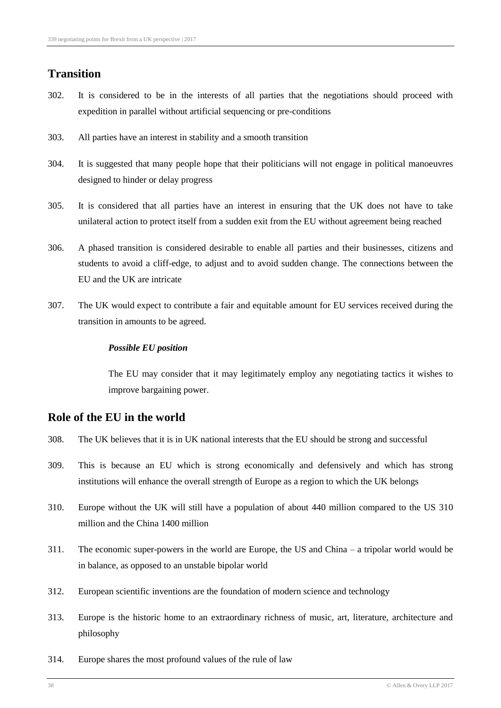## **Transition**

- 302. It is considered to be in the interests of all parties that the negotiations should proceed with expedition in parallel without artificial sequencing or pre-conditions
- 303. All parties have an interest in stability and a smooth transition
- 304. It is suggested that many people hope that their politicians will not engage in political manoeuvres designed to hinder or delay progress
- 305. It is considered that all parties have an interest in ensuring that the UK does not have to take unilateral action to protect itself from a sudden exit from the EU without agreement being reached
- 306. A phased transition is considered desirable to enable all parties and their businesses, citizens and students to avoid a cliff-edge, to adjust and to avoid sudden change. The connections between the EU and the UK are intricate
- 307. The UK would expect to contribute a fair and equitable amount for EU services received during the transition in amounts to be agreed.

#### *Possible EU position*

The EU may consider that it may legitimately employ any negotiating tactics it wishes to improve bargaining power.

### **Role of the EU in the world**

- 308. The UK believes that it is in UK national interests that the EU should be strong and successful
- 309. This is because an EU which is strong economically and defensively and which has strong institutions will enhance the overall strength of Europe as a region to which the UK belongs
- 310. Europe without the UK will still have a population of about 440 million compared to the US 310 million and the China 1400 million
- 311. The economic super-powers in the world are Europe, the US and China a tripolar world would be in balance, as opposed to an unstable bipolar world
- 312. European scientific inventions are the foundation of modern science and technology
- 313. Europe is the historic home to an extraordinary richness of music, art, literature, architecture and philosophy
- 314. Europe shares the most profound values of the rule of law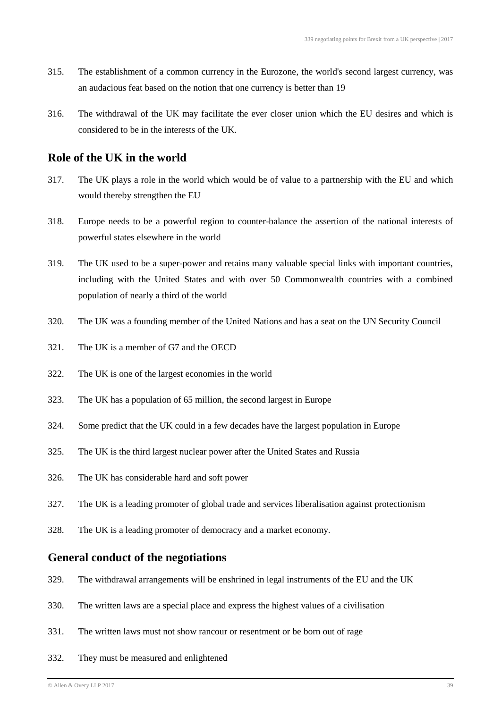- 315. The establishment of a common currency in the Eurozone, the world's second largest currency, was an audacious feat based on the notion that one currency is better than 19
- 316. The withdrawal of the UK may facilitate the ever closer union which the EU desires and which is considered to be in the interests of the UK.

#### **Role of the UK in the world**

- 317. The UK plays a role in the world which would be of value to a partnership with the EU and which would thereby strengthen the EU
- 318. Europe needs to be a powerful region to counter-balance the assertion of the national interests of powerful states elsewhere in the world
- 319. The UK used to be a super-power and retains many valuable special links with important countries, including with the United States and with over 50 Commonwealth countries with a combined population of nearly a third of the world
- 320. The UK was a founding member of the United Nations and has a seat on the UN Security Council
- 321. The UK is a member of G7 and the OECD
- 322. The UK is one of the largest economies in the world
- 323. The UK has a population of 65 million, the second largest in Europe
- 324. Some predict that the UK could in a few decades have the largest population in Europe
- 325. The UK is the third largest nuclear power after the United States and Russia
- 326. The UK has considerable hard and soft power
- 327. The UK is a leading promoter of global trade and services liberalisation against protectionism
- 328. The UK is a leading promoter of democracy and a market economy.

#### **General conduct of the negotiations**

- 329. The withdrawal arrangements will be enshrined in legal instruments of the EU and the UK
- 330. The written laws are a special place and express the highest values of a civilisation
- 331. The written laws must not show rancour or resentment or be born out of rage
- 332. They must be measured and enlightened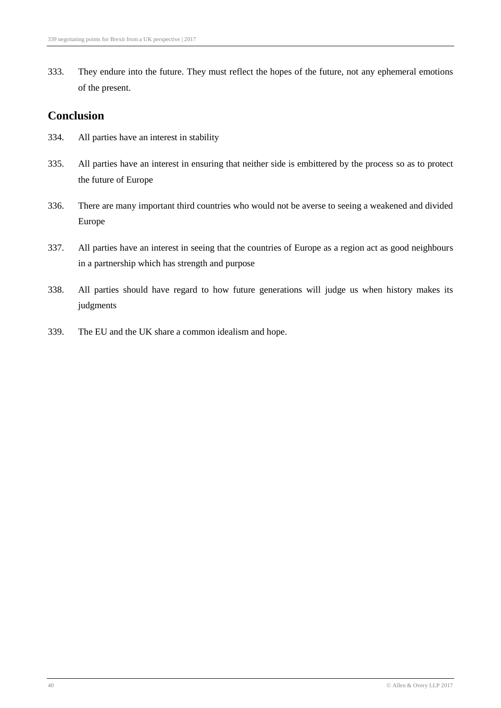333. They endure into the future. They must reflect the hopes of the future, not any ephemeral emotions of the present.

### **Conclusion**

- 334. All parties have an interest in stability
- 335. All parties have an interest in ensuring that neither side is embittered by the process so as to protect the future of Europe
- 336. There are many important third countries who would not be averse to seeing a weakened and divided Europe
- 337. All parties have an interest in seeing that the countries of Europe as a region act as good neighbours in a partnership which has strength and purpose
- 338. All parties should have regard to how future generations will judge us when history makes its judgments
- 339. The EU and the UK share a common idealism and hope.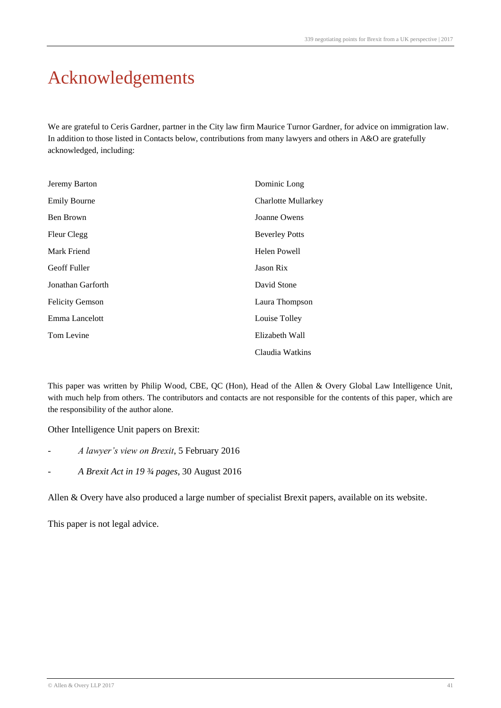# Acknowledgements

We are grateful to Ceris Gardner, partner in the City law firm Maurice Turnor Gardner, for advice on immigration law. In addition to those listed in Contacts below, contributions from many lawyers and others in A&O are gratefully acknowledged, including:

| Jeremy Barton          | Dominic Long          |
|------------------------|-----------------------|
| <b>Emily Bourne</b>    | Charlotte Mullarkey   |
| Ben Brown              | Joanne Owens          |
| Fleur Clegg            | <b>Beverley Potts</b> |
| Mark Friend            | Helen Powell          |
| <b>Geoff Fuller</b>    | Jason Rix             |
| Jonathan Garforth      | David Stone           |
| <b>Felicity Gemson</b> | Laura Thompson        |
| Emma Lancelott         | Louise Tolley         |
| Tom Levine             | Elizabeth Wall        |
|                        | Claudia Watkins       |

This paper was written by Philip Wood, CBE, QC (Hon), Head of the Allen & Overy Global Law Intelligence Unit, with much help from others. The contributors and contacts are not responsible for the contents of this paper, which are the responsibility of the author alone.

Other Intelligence Unit papers on Brexit:

- *A lawyer's view on Brexit*, 5 February 2016
- *A Brexit Act in 19 ¾ pages*, 30 August 2016

Allen & Overy have also produced a large number of specialist Brexit papers, available on its website.

This paper is not legal advice.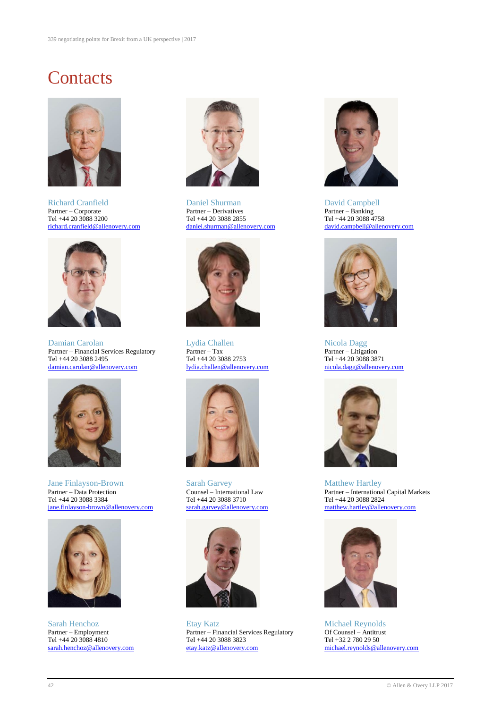# **Contacts**



Richard Cranfield Daniel Shurman David Campbell<br>
Partner – Corporate Partner – Derivatives Partner – Banking Partner – Corporate Partner – Derivatives Partner – Banking<br>Tel +44 20 3088 3200 Tel +44 20 3088 4758 Tel +44 20 3088 4758 [richard.cranfield@allenovery.com](mailto:richard.cranfield@allenovery.com)



Damian Carolan **Nicola Dagg** Lydia Challen Nicola Dagg Nicola Dagg Partner – Financial Services Regulatory<br>
Tel +44 20 3088 2753<br>
Tel +44 20 3088 2871<br>
Partner – Litigation<br>
Tel +44 20 3088 2871 [damian.carolan@allenovery.com](mailto:damian.carolan@allenovery.com)



Jane Finlayson-Brown Sarah Garvey Matthew Hartley [jane.finlayson-brown@allenovery.com](mailto:jane.finlayson-brown@allenovery.com)



Tel +44 20 3088 4810<br>
<u>Sarah.henchoz@allenovery.com</u><br>
<u>Etay.katz@allenovery.com</u><br>
<u>Etay.katz@allenovery.com</u>





Tel +44 20 3088 2753<br>  $\frac{1 \text{ydia.challen} @$  allenovery.com<br>  $\frac{1 \text{pdia.challen} @$  allenovery.com<br>  $\frac{1}{2 \text{pola.dagg}} @$  allenovery.com





Sarah Henchoz Etay Katz Michael Reynolds Partner – Employment Partner – Financial Services Regulatory Of Counsel – Antitru<br>Tel +44 20 3088 3823 Tel +42 20 3088 3823 Tel +32 2 780 29 50



Tel +44 20 3088 2855<br>
daniel.shurman@allenovery.com david.campbell@allenovery.com





Partner – Data Protection Counsel – International Law Partner – International Capital Markets Tel +44 20 3088 3710<br>
Sarah.garvey@allenovery.com Tel +44 20 3088 2824<br>
matthew.hartley@allenovery.com Test and thew.hartley@allenovery.com



[michael.reynolds@allenovery.com](mailto:michael.reynolds@allenovery.com)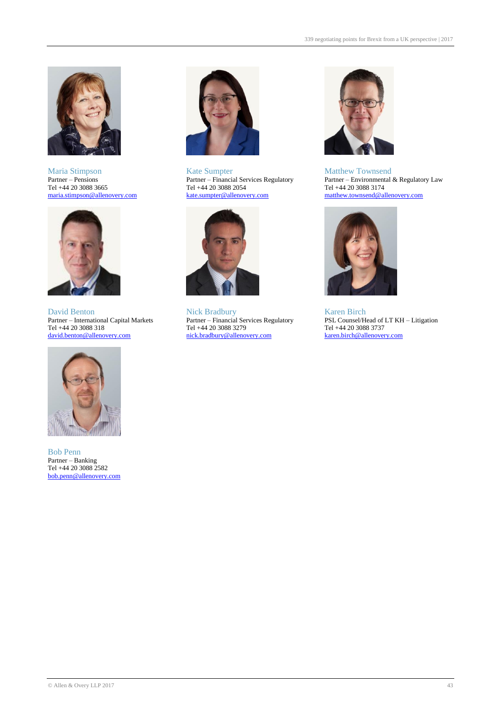



David Benton Nick Bradbury (Karen Birch Partner – International Capital Markets Partner – Financial Services Regulatory (Karen Birch Partner – Financial Services Regulatory (REC Counsel/H



Bob Penn Partner – Banking Tel +44 20 3088 2582 [bob.penn@allenovery.com](mailto:bob.penn@allenovery.com)



Maria Stimpson Kate Sumpter Maria Stimpson Kate Sumpter Matthew Townsend Partner – Pensions Partner – Financial Services Regulatory Partner – Environmental Tel  $+44$  20 3088 2054<br>kate.sumpter@allenovery.com



Tel +44 20 3088 318 Tel +44 20 3088 3279 Tel +44 20 3088 3737<br>
david.benton@allenovery.com nick.bradbury@allenovery.com karen.birch@allenovery.com [nick.bradbury@allenovery.com](mailto:nick.bradbury@allenovery.com)



Partner – Pensions Partner – Financial Services Regulatory Partner – Environmental & Regulatory Law<br>
Tel +44 20 3088 2054 Tel +44 20 3088 3174 [maria.stimpson@allenovery.com](mailto:maria.stimpson@allenovery.com) [kate.sumpter@allenovery.com](mailto:kate.sumpter@allenovery.com) matthew.townsend@allenovery.com



Partner – International Capital Markets Partner – Financial Services Regulatory PSL Counsel/Head of LT KH – Litigation<br>
Tel +44 20 3088 318 Tel +44 20 3088 3737